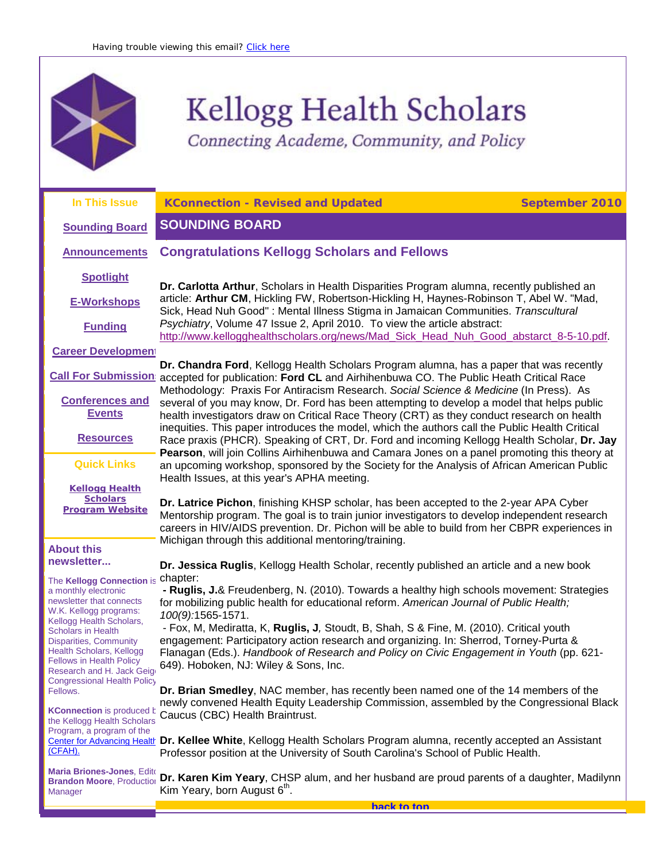

# Kellogg Health Scholars

<span id="page-0-2"></span><span id="page-0-0"></span>Connecting Academe, Community, and Policy

<span id="page-0-1"></span>

| In This Issue                                                                             | <b>KConnection - Revised and Updated</b>                                                                                                                                                                                                                                                     | <b>September 2010</b> |
|-------------------------------------------------------------------------------------------|----------------------------------------------------------------------------------------------------------------------------------------------------------------------------------------------------------------------------------------------------------------------------------------------|-----------------------|
| <b>Sounding Board</b>                                                                     | <b>SOUNDING BOARD</b>                                                                                                                                                                                                                                                                        |                       |
| <b>Announcements</b>                                                                      | <b>Congratulations Kellogg Scholars and Fellows</b>                                                                                                                                                                                                                                          |                       |
| <b>Spotlight</b>                                                                          | Dr. Carlotta Arthur, Scholars in Health Disparities Program alumna, recently published an                                                                                                                                                                                                    |                       |
| <b>E-Workshops</b>                                                                        | article: Arthur CM, Hickling FW, Robertson-Hickling H, Haynes-Robinson T, Abel W. "Mad,<br>Sick, Head Nuh Good": Mental Illness Stigma in Jamaican Communities. Transcultural                                                                                                                |                       |
| <b>Funding</b>                                                                            | Psychiatry, Volume 47 Issue 2, April 2010. To view the article abstract:<br>http://www.kellogghealthscholars.org/news/Mad_Sick_Head_Nuh_Good_abstarct_8-5-10.pdf.                                                                                                                            |                       |
| <b>Career Development</b>                                                                 |                                                                                                                                                                                                                                                                                              |                       |
| <b>Call For Submission:</b>                                                               | Dr. Chandra Ford, Kellogg Health Scholars Program alumna, has a paper that was recently<br>accepted for publication: Ford CL and Airhihenbuwa CO. The Public Heath Critical Race<br>Methodology: Praxis For Antiracism Research. Social Science & Medicine (In Press). As                    |                       |
| <b>Conferences and</b><br><b>Events</b>                                                   | several of you may know, Dr. Ford has been attempting to develop a model that helps public<br>health investigators draw on Critical Race Theory (CRT) as they conduct research on health                                                                                                     |                       |
| <b>Resources</b>                                                                          | inequities. This paper introduces the model, which the authors call the Public Health Critical<br>Race praxis (PHCR). Speaking of CRT, Dr. Ford and incoming Kellogg Health Scholar, Dr. Jay<br>Pearson, will join Collins Airhihenbuwa and Camara Jones on a panel promoting this theory at |                       |
| <b>Quick Links</b>                                                                        | an upcoming workshop, sponsored by the Society for the Analysis of African American Public<br>Health Issues, at this year's APHA meeting.                                                                                                                                                    |                       |
| <b>Kellogg Health</b>                                                                     |                                                                                                                                                                                                                                                                                              |                       |
| <b>Scholars</b><br><b>Program Website</b>                                                 | Dr. Latrice Pichon, finishing KHSP scholar, has been accepted to the 2-year APA Cyber<br>Mentorship program. The goal is to train junior investigators to develop independent research<br>careers in HIV/AIDS prevention. Dr. Pichon will be able to build from her CBPR experiences in      |                       |
| <b>About this</b>                                                                         | Michigan through this additional mentoring/training.                                                                                                                                                                                                                                         |                       |
| newsletter                                                                                | Dr. Jessica Ruglis, Kellogg Health Scholar, recently published an article and a new book                                                                                                                                                                                                     |                       |
| The Kellogg Connection is                                                                 | chapter:                                                                                                                                                                                                                                                                                     |                       |
| a monthly electronic<br>newsletter that connects<br>W.K. Kellogg programs:                | - Ruglis, J.& Freudenberg, N. (2010). Towards a healthy high schools movement: Strategies<br>for mobilizing public health for educational reform. American Journal of Public Health;                                                                                                         |                       |
| Kellogg Health Scholars,                                                                  | 100(9):1565-1571.<br>- Fox, M, Mediratta, K, Ruglis, J, Stoudt, B, Shah, S & Fine, M. (2010). Critical youth                                                                                                                                                                                 |                       |
| <b>Scholars in Health</b><br><b>Disparities, Community</b>                                | engagement: Participatory action research and organizing. In: Sherrod, Torney-Purta &                                                                                                                                                                                                        |                       |
| Health Scholars, Kellogg<br><b>Fellows in Health Policy</b><br>Research and H. Jack Geigo | Flanagan (Eds.). Handbook of Research and Policy on Civic Engagement in Youth (pp. 621-<br>649). Hoboken, NJ: Wiley & Sons, Inc.                                                                                                                                                             |                       |
| <b>Congressional Health Policy</b><br>Fellows.                                            | Dr. Brian Smedley, NAC member, has recently been named one of the 14 members of the                                                                                                                                                                                                          |                       |
| <b>KConnection</b> is produced b<br>the Kellogg Health Scholars                           | newly convened Health Equity Leadership Commission, assembled by the Congressional Black<br>Caucus (CBC) Health Braintrust.                                                                                                                                                                  |                       |
| Program, a program of the                                                                 |                                                                                                                                                                                                                                                                                              |                       |
| (CFAH).                                                                                   | Center for Advancing Health Dr. Kellee White, Kellogg Health Scholars Program alumna, recently accepted an Assistant<br>Professor position at the University of South Carolina's School of Public Health.                                                                                    |                       |
| Maria Briones-Jones, Edito<br><b>Brandon Moore, Production</b><br>Manager                 | Dr. Karen Kim Yeary, CHSP alum, and her husband are proud parents of a daughter, Madilynn<br>Kim Yeary, born August 6 <sup>th</sup> .                                                                                                                                                        |                       |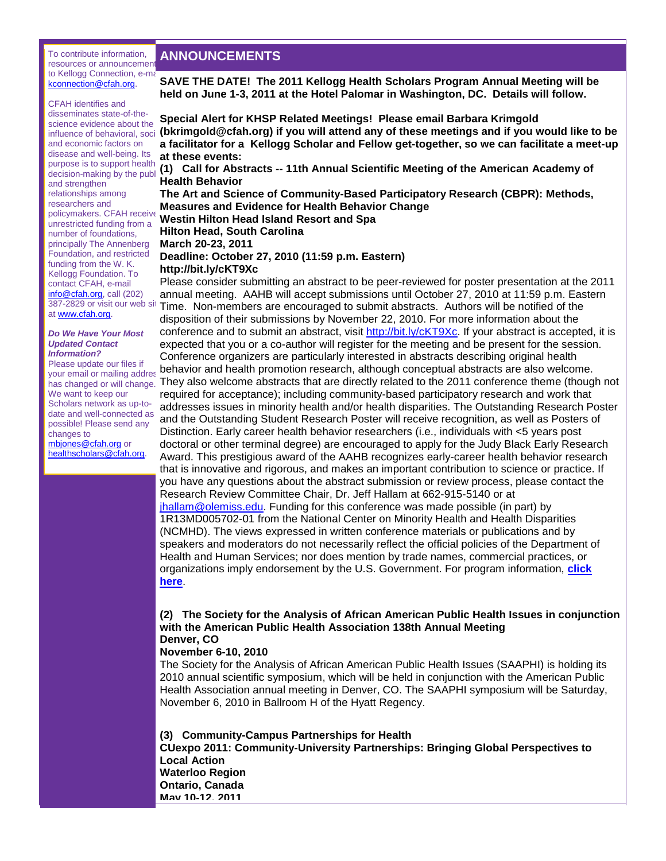#### To contribute information, resources or announcement to Kellogg Connection, e-ma [kconnection@cfah.org.](mailto:kconnection@cfah.org)

#### CFAH identifies and disseminates state-of-thescience evidence about the and economic factors on disease and well-being. Its purpose is to support health and strengthen relationships among researchers and policymakers. CFAH receive unrestricted funding from a number of foundations, principally The Annenberg Foundation, and restricted funding from the W. K. Kellogg Foundation. To contact CFAH, e-mail [info@cfah.org,](mailto:info@cfah.org) call (202) 387-2829 or visit our web sit at [www.cfah.org.](http://r20.rs6.net/tn.jsp?llr=5gytkqcab&et=1103683950222&s=1&e=001-bnjQJfF5_YhUNDJaBg80EbjOYDmoSXbBui00zaRDl3ibS31e0_AssCxJpjPJTDq4_InLTyvAYnuobEkPpShYbeXof4vLve2cmX6_veIH3o=)

#### *Do We Have Your Most Updated Contact Information?*

Please update our files if your email or mailing addres We want to keep our Scholars network as up-todate and well-connected as possible! Please send any changes to [mbjones@cfah.org](mailto:mbjones@cfah.org) or [healthscholars@cfah.org.](mailto:healthscholars@cfah.org)

# **ANNOUNCEMENTS**

**SAVE THE DATE! The 2011 Kellogg Health Scholars Program Annual Meeting will be held on June 1-3, 2011 at the Hotel Palomar in Washington, DC. Details will follow.**

influence of behavioral, social **[\(bkrimgold@cfah.org\)](mailto:bkrimgold@cfah.org) if you will attend any of these meetings and if you would like to be Special Alert for KHSP Related Meetings! Please email Barbara Krimgold a facilitator for a Kellogg Scholar and Fellow get-together, so we can facilitate a meet-up at these events:**

parpose is to support heating (1) Call for Abstracts -- 11th Annual Scientific Meeting of the American Academy of **decision-making by the publ** (1) **Health Behavior** 

> **The Art and Science of Community-Based Participatory Research (CBPR): Methods, Measures and Evidence for Health Behavior Change**

**Westin Hilton Head Island Resort and Spa** 

# **Hilton Head, South Carolina**

**March 20-23, 2011** 

# **Deadline: October 27, 2010 (11:59 p.m. Eastern)**

#### **[http://bit.ly/cKT9Xc](http://r20.rs6.net/tn.jsp?llr=5gytkqcab&et=1103683950222&s=1&e=001-bnjQJfF5_YZDxHiVO7yytOi9qSkmK8aiBaV8knBiZ2OgIHCarUcKdJwyL4lbGzL4qohnA0u_g-0TyM6KZR0nwaVW5eLlsw7fvf3XajdZ-c=)**

 $\zeta$ has changed or will change. They also welcome abstracts that are directly related to the 2011 conference theme (though not Please consider submitting an abstract to be peer-reviewed for poster presentation at the 2011 annual meeting. AAHB will accept submissions until October 27, 2010 at 11:59 p.m. Eastern Time. Non-members are encouraged to submit abstracts. Authors will be notified of the disposition of their submissions by November 22, 2010. For more information about the conference and to submit an abstract, visit [http://bit.ly/cKT9Xc.](http://r20.rs6.net/tn.jsp?llr=5gytkqcab&et=1103683950222&s=1&e=001-bnjQJfF5_YZDxHiVO7yytOi9qSkmK8aiBaV8knBiZ2OgIHCarUcKdJwyL4lbGzL4qohnA0u_g-0TyM6KZR0nwaVW5eLlsw7fvf3XajdZ-c=) If your abstract is accepted, it is expected that you or a co-author will register for the meeting and be present for the session. Conference organizers are particularly interested in abstracts describing original health behavior and health promotion research, although conceptual abstracts are also welcome. required for acceptance); including community-based participatory research and work that addresses issues in minority health and/or health disparities. The Outstanding Research Poster and the Outstanding Student Research Poster will receive recognition, as well as Posters of Distinction. Early career health behavior researchers (i.e., individuals with <5 years post doctoral or other terminal degree) are encouraged to apply for the Judy Black Early Research Award. This prestigious award of the AAHB recognizes early-career health behavior research that is innovative and rigorous, and makes an important contribution to science or practice. If you have any questions about the abstract submission or review process, please contact the Research Review Committee Chair, Dr. Jeff Hallam at 662-915-5140 or at [jhallam@olemiss.edu.](mailto:jhallam@olemiss.edu) Funding for this conference was made possible (in part) by 1R13MD005702-01 from the National Center on Minority Health and Health Disparities (NCMHD). The views expressed in written conference materials or publications and by speakers and moderators do not necessarily reflect the official policies of the Department of Health and Human Services; nor does mention by trade names, commercial practices, or organizations imply endorsement by the U.S. Government. For program information, **[click](http://r20.rs6.net/tn.jsp?llr=5gytkqcab&et=1103683950222&s=1&e=001-bnjQJfF5_bpY5dakf4wqXO2X2mjsckXtkEuKIHWsS3p6LbnmkhpT2YmD_34ceX27wH522EDKAHfJVjrtqsssS1xdIBVEL3LP-DxOYqDYAkfbCG9smgwZgGLBH_Zgdpqcbjsj0JyKM4faOaSkRSRR_8sqfpxDsGwXGz5KH4XteyWldp6iSSM-jxchBZCSgZhramvWX4NkMuKf77ePYB-ZQ==)  [here](http://r20.rs6.net/tn.jsp?llr=5gytkqcab&et=1103683950222&s=1&e=001-bnjQJfF5_bpY5dakf4wqXO2X2mjsckXtkEuKIHWsS3p6LbnmkhpT2YmD_34ceX27wH522EDKAHfJVjrtqsssS1xdIBVEL3LP-DxOYqDYAkfbCG9smgwZgGLBH_Zgdpqcbjsj0JyKM4faOaSkRSRR_8sqfpxDsGwXGz5KH4XteyWldp6iSSM-jxchBZCSgZhramvWX4NkMuKf77ePYB-ZQ==)**.

## **(2) The Society for the Analysis of African American Public Health Issues in conjunction with the American Public Health Association 138th Annual Meeting Denver, CO**

## **November 6-10, 2010**

The Society for the Analysis of African American Public Health Issues (SAAPHI) is holding its 2010 annual scientific symposium, which will be held in conjunction with the American Public Health Association annual meeting in Denver, CO. The SAAPHI symposium will be Saturday, November 6, 2010 in Ballroom H of the Hyatt Regency.

**(3) Community-Campus Partnerships for Health CUexpo 2011: Community-University Partnerships: Bringing Global Perspectives to Local Action Waterloo Region Ontario, Canada May 10-12, 2011**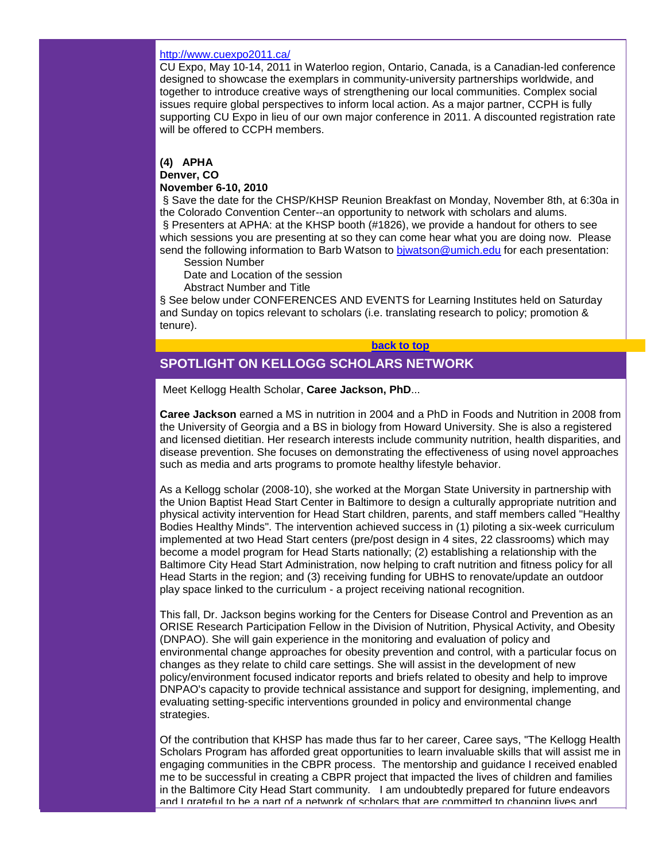#### <http://www.cuexpo2011.ca/>

CU Expo, May 10-14, 2011 in Waterloo region, Ontario, Canada, is a Canadian-led conference designed to showcase the exemplars in community-university partnerships worldwide, and together to introduce creative ways of strengthening our local communities. Complex social issues require global perspectives to inform local action. As a major partner, CCPH is fully supporting CU Expo in lieu of our own major conference in 2011. A discounted registration rate will be offered to CCPH members.

# **(4) APHA**

# **Denver, CO**

#### **November 6-10, 2010**

§ Save the date for the CHSP/KHSP Reunion Breakfast on Monday, November 8th, at 6:30a in the Colorado Convention Center--an opportunity to network with scholars and alums. § Presenters at APHA: at the KHSP booth (#1826), we provide a handout for others to see which sessions you are presenting at so they can come hear what you are doing now. Please send the following information to Barb Watson to biwatson@umich.edu for each presentation:

Session Number

Date and Location of the session

Abstract Number and Title

§ See below under CONFERENCES AND EVENTS for Learning Institutes held on Saturday and Sunday on topics relevant to scholars (i.e. translating research to policy; promotion & tenure).

#### **[back to top](#page-0-2)**

# <span id="page-2-0"></span>**SPOTLIGHT ON KELLOGG SCHOLARS NETWORK**

Meet Kellogg Health Scholar, **Caree Jackson, PhD**...

**Caree Jackson** earned a MS in nutrition in 2004 and a PhD in Foods and Nutrition in 2008 from the University of Georgia and a BS in biology from Howard University. She is also a registered and licensed dietitian. Her research interests include community nutrition, health disparities, and disease prevention. She focuses on demonstrating the effectiveness of using novel approaches such as media and arts programs to promote healthy lifestyle behavior.

As a Kellogg scholar (2008-10), she worked at the Morgan State University in partnership with the Union Baptist Head Start Center in Baltimore to design a culturally appropriate nutrition and physical activity intervention for Head Start children, parents, and staff members called "Healthy Bodies Healthy Minds". The intervention achieved success in (1) piloting a six-week curriculum implemented at two Head Start centers (pre/post design in 4 sites, 22 classrooms) which may become a model program for Head Starts nationally; (2) establishing a relationship with the Baltimore City Head Start Administration, now helping to craft nutrition and fitness policy for all Head Starts in the region; and (3) receiving funding for UBHS to renovate/update an outdoor play space linked to the curriculum - a project receiving national recognition.

This fall, Dr. Jackson begins working for the Centers for Disease Control and Prevention as an ORISE Research Participation Fellow in the Division of Nutrition, Physical Activity, and Obesity (DNPAO). She will gain experience in the monitoring and evaluation of policy and environmental change approaches for obesity prevention and control, with a particular focus on changes as they relate to child care settings. She will assist in the development of new policy/environment focused indicator reports and briefs related to obesity and help to improve DNPAO's capacity to provide technical assistance and support for designing, implementing, and evaluating setting-specific interventions grounded in policy and environmental change strategies.

Of the contribution that KHSP has made thus far to her career, Caree says, "The Kellogg Health Scholars Program has afforded great opportunities to learn invaluable skills that will assist me in engaging communities in the CBPR process. The mentorship and guidance I received enabled me to be successful in creating a CBPR project that impacted the lives of children and families in the Baltimore City Head Start community. I am undoubtedly prepared for future endeavors and I grateful to be a part of a network of scholars that are committed to changing lives and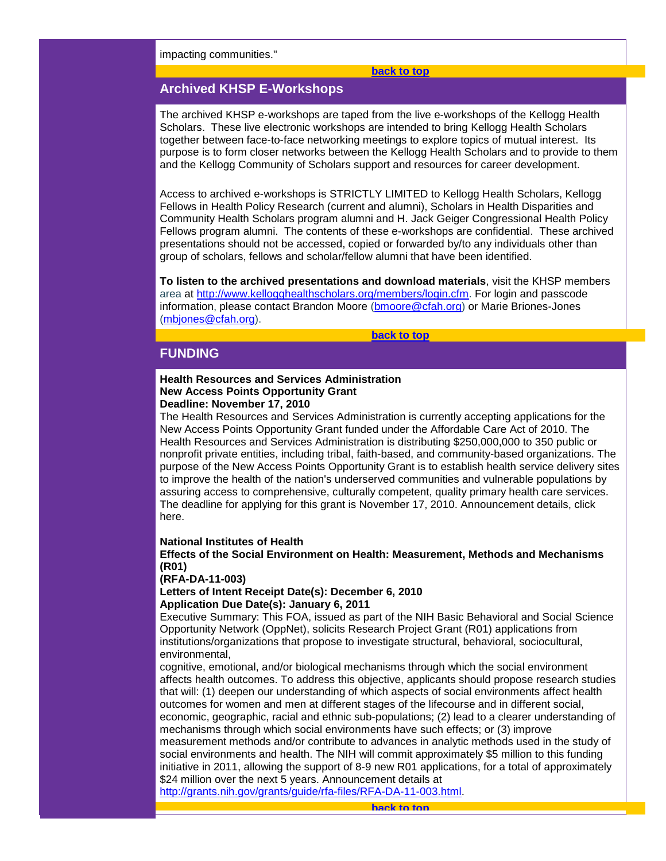impacting communities."

#### **[back to top](#page-0-2)**

# <span id="page-3-0"></span>**Archived KHSP E-Workshops**

The archived KHSP e-workshops are taped from the live e-workshops of the Kellogg Health Scholars. These live electronic workshops are intended to bring Kellogg Health Scholars together between face-to-face networking meetings to explore topics of mutual interest. Its purpose is to form closer networks between the Kellogg Health Scholars and to provide to them and the Kellogg Community of Scholars support and resources for career development.

Access to archived e-workshops is STRICTLY LIMITED to Kellogg Health Scholars, Kellogg Fellows in Health Policy Research (current and alumni), Scholars in Health Disparities and Community Health Scholars program alumni and H. Jack Geiger Congressional Health Policy Fellows program alumni. The contents of these e-workshops are confidential. These archived presentations should not be accessed, copied or forwarded by/to any individuals other than group of scholars, fellows and scholar/fellow alumni that have been identified.

**To listen to the archived presentations and download materials**, visit the KHSP members area at [http://www.kellogghealthscholars.org/members/login.cfm.](http://r20.rs6.net/tn.jsp?llr=5gytkqcab&et=1103683950222&s=1&e=001-bnjQJfF5_YjtskmOTI0j-FJ0FFCSwVggBZNJUpKRGytNwt4mjSaincQ7zAucA1C6OHxkOzciI2-m75nZg9X6DdfvYNCafBYb7QLweXavYwFnbpy3z86OKBUL3S3BwpA6ODicutJRN3O4-uJHk3t9Q==) For login and passcode information, please contact Brandon Moore [\(bmoore@cfah.org\)](mailto:bmoore@cfah.org) or Marie Briones-Jones [\(mbjones@cfah.org\)](mailto:mbjones@cfah.org).

**[back to top](#page-0-2)**

# <span id="page-3-1"></span>**FUNDING**

#### **Health Resources and Services Administration New Access Points Opportunity Grant Deadline: November 17, 2010**

The Health Resources and Services Administration is currently accepting applications for the New Access Points Opportunity Grant funded under the Affordable Care Act of 2010. The Health Resources and Services Administration is distributing \$250,000,000 to 350 public or nonprofit private entities, including tribal, faith-based, and community-based organizations. The purpose of the New Access Points Opportunity Grant is to establish health service delivery sites to improve the health of the nation's underserved communities and vulnerable populations by assuring access to comprehensive, culturally competent, quality primary health care services. The deadline for applying for this grant is November 17, 2010. Announcement details, click here.

#### **National Institutes of Health**

**Effects of the Social Environment on Health: Measurement, Methods and Mechanisms (R01)** 

## **(RFA-DA-11-003)**

**Letters of Intent Receipt Date(s): December 6, 2010 Application Due Date(s): January 6, 2011**

Executive Summary: This FOA, issued as part of the NIH Basic Behavioral and Social Science Opportunity Network (OppNet), solicits Research Project Grant (R01) applications from institutions/organizations that propose to investigate structural, behavioral, sociocultural, environmental,

cognitive, emotional, and/or biological mechanisms through which the social environment affects health outcomes. To address this objective, applicants should propose research studies that will: (1) deepen our understanding of which aspects of social environments affect health outcomes for women and men at different stages of the lifecourse and in different social, economic, geographic, racial and ethnic sub-populations; (2) lead to a clearer understanding of mechanisms through which social environments have such effects; or (3) improve measurement methods and/or contribute to advances in analytic methods used in the study of social environments and health. The NIH will commit approximately \$5 million to this funding initiative in 2011, allowing the support of 8-9 new R01 applications, for a total of approximately \$24 million over the next 5 years. Announcement details at

<span id="page-3-2"></span>[http://grants.nih.gov/grants/guide/rfa-files/RFA-DA-11-003.html.](http://grants.nih.gov/grants/guide/rfa-files/RFA-DA-11-003.html)

**[back to top](#page-0-2)**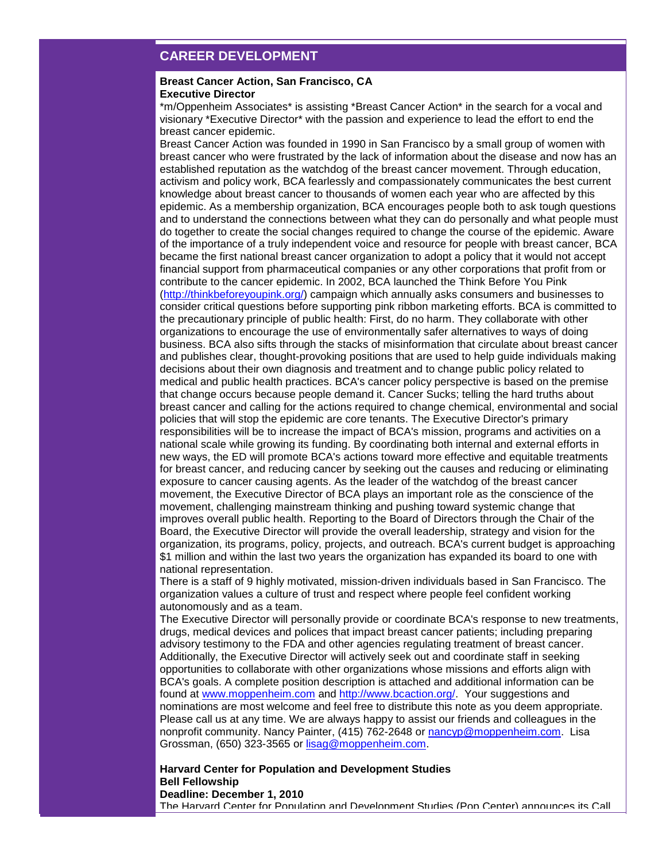# **CAREER DEVELOPMENT**

#### **Breast Cancer Action, San Francisco, CA Executive Director**

\*m/Oppenheim Associates\* is assisting \*Breast Cancer Action\* in the search for a vocal and visionary \*Executive Director\* with the passion and experience to lead the effort to end the breast cancer epidemic.

Breast Cancer Action was founded in 1990 in San Francisco by a small group of women with breast cancer who were frustrated by the lack of information about the disease and now has an established reputation as the watchdog of the breast cancer movement. Through education, activism and policy work, BCA fearlessly and compassionately communicates the best current knowledge about breast cancer to thousands of women each year who are affected by this epidemic. As a membership organization, BCA encourages people both to ask tough questions and to understand the connections between what they can do personally and what people must do together to create the social changes required to change the course of the epidemic. Aware of the importance of a truly independent voice and resource for people with breast cancer, BCA became the first national breast cancer organization to adopt a policy that it would not accept financial support from pharmaceutical companies or any other corporations that profit from or contribute to the cancer epidemic. In 2002, BCA launched the Think Before You Pink [\(http://thinkbeforeyoupink.org/\)](http://r20.rs6.net/tn.jsp?llr=5gytkqcab&et=1103683950222&s=1&e=001-bnjQJfF5_YnmXw7uZq9Posc6K863GMt1IgPUK9desWBVN5IlRhTpAOMTN2XaO5PvxgxGF4TStjSpKRNahRPcl1c3-AgDQPhyz2KVkIerr5surZdWLoHQg==) campaign which annually asks consumers and businesses to consider critical questions before supporting pink ribbon marketing efforts. BCA is committed to the precautionary principle of public health: First, do no harm. They collaborate with other organizations to encourage the use of environmentally safer alternatives to ways of doing business. BCA also sifts through the stacks of misinformation that circulate about breast cancer and publishes clear, thought-provoking positions that are used to help guide individuals making decisions about their own diagnosis and treatment and to change public policy related to medical and public health practices. BCA's cancer policy perspective is based on the premise that change occurs because people demand it. Cancer Sucks; telling the hard truths about breast cancer and calling for the actions required to change chemical, environmental and social policies that will stop the epidemic are core tenants. The Executive Director's primary responsibilities will be to increase the impact of BCA's mission, programs and activities on a national scale while growing its funding. By coordinating both internal and external efforts in new ways, the ED will promote BCA's actions toward more effective and equitable treatments for breast cancer, and reducing cancer by seeking out the causes and reducing or eliminating exposure to cancer causing agents. As the leader of the watchdog of the breast cancer movement, the Executive Director of BCA plays an important role as the conscience of the movement, challenging mainstream thinking and pushing toward systemic change that improves overall public health. Reporting to the Board of Directors through the Chair of the Board, the Executive Director will provide the overall leadership, strategy and vision for the organization, its programs, policy, projects, and outreach. BCA's current budget is approaching \$1 million and within the last two years the organization has expanded its board to one with national representation.

There is a staff of 9 highly motivated, mission-driven individuals based in San Francisco. The organization values a culture of trust and respect where people feel confident working autonomously and as a team.

The Executive Director will personally provide or coordinate BCA's response to new treatments, drugs, medical devices and polices that impact breast cancer patients; including preparing advisory testimony to the FDA and other agencies regulating treatment of breast cancer. Additionally, the Executive Director will actively seek out and coordinate staff in seeking opportunities to collaborate with other organizations whose missions and efforts align with BCA's goals. A complete position description is attached and additional information can be found at [www.moppenheim.com](http://www.moppenheim.com/) and [http://www.bcaction.org/.](http://r20.rs6.net/tn.jsp?llr=5gytkqcab&et=1103683950222&s=1&e=001-bnjQJfF5_YvVHLE0CL4_WP08gkPF8Tz4ug9g9XE2WA6shPPKAofyAWVlshkHvOco3AVLFKVXqi2YSE-zeX7DR_iOtpoVl4_mrMDRK2oiME=) Your suggestions and nominations are most welcome and feel free to distribute this note as you deem appropriate. Please call us at any time. We are always happy to assist our friends and colleagues in the nonprofit community. Nancy Painter, (415) 762-2648 or [nancyp@moppenheim.com.](mailto:nancyp@moppenheim.com) Lisa Grossman, (650) 323-3565 or [lisag@moppenheim.com.](mailto:lisag@moppenheim.com)

#### **Harvard Center for Population and Development Studies Bell Fellowship Deadline: December 1, 2010**

The Harvard Center for Population and Development Studies (Pop Center) announces its Call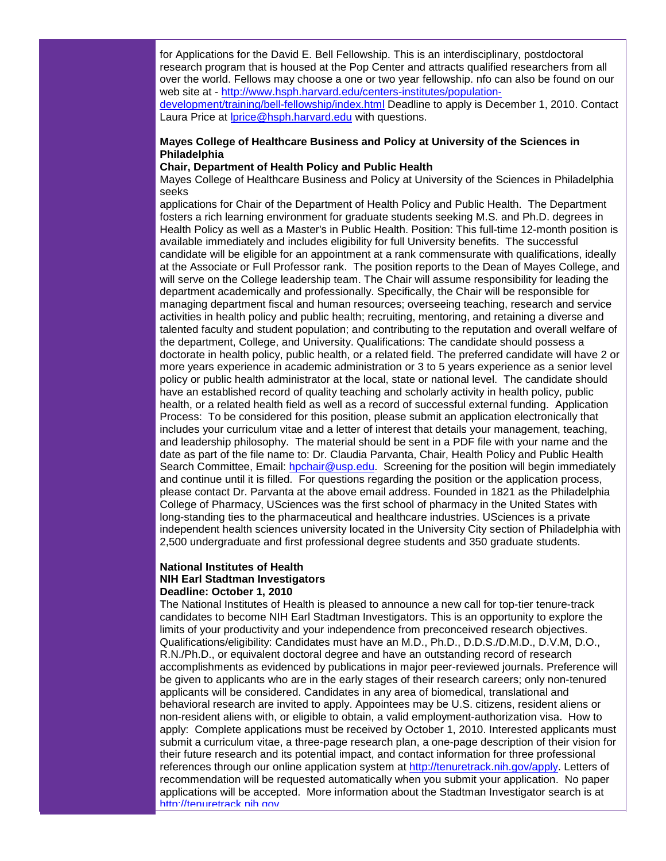for Applications for the David E. Bell Fellowship. This is an interdisciplinary, postdoctoral research program that is housed at the Pop Center and attracts qualified researchers from all over the world. Fellows may choose a one or two year fellowship. nfo can also be found on our web site at - [http://www.hsph.harvard.edu/centers-institutes/population-](http://r20.rs6.net/tn.jsp?llr=5gytkqcab&et=1103683950222&s=1&e=001-bnjQJfF5_aM39DPJA6ABUd2NMxniD5xJT3i699lr34U5YQ_Ucm2nFmC-XWaQ9xLRHjcw7EqEwimdf5DQlyA_0TXBohsnMkyqmmoFjQA9w-cQk__twmr_lkZVgxzA89BU1B_p8Qxr20pmd7WhOdcZGM8yQYH3UjrYCJTXsI4xonuVOjNt-lBsO1XhvzU25hgByNFJRk7pRNZ9nqMH9imcvOJ9HDPlcbGNot_C-KtbOE=)

[development/training/bell-fellowship/index.html](http://r20.rs6.net/tn.jsp?llr=5gytkqcab&et=1103683950222&s=1&e=001-bnjQJfF5_aM39DPJA6ABUd2NMxniD5xJT3i699lr34U5YQ_Ucm2nFmC-XWaQ9xLRHjcw7EqEwimdf5DQlyA_0TXBohsnMkyqmmoFjQA9w-cQk__twmr_lkZVgxzA89BU1B_p8Qxr20pmd7WhOdcZGM8yQYH3UjrYCJTXsI4xonuVOjNt-lBsO1XhvzU25hgByNFJRk7pRNZ9nqMH9imcvOJ9HDPlcbGNot_C-KtbOE=) Deadline to apply is December 1, 2010. Contact Laura Price at Iprice@hsph.harvard.edu with questions.

## **Mayes College of Healthcare Business and Policy at University of the Sciences in Philadelphia**

#### **Chair, Department of Health Policy and Public Health**

Mayes College of Healthcare Business and Policy at University of the Sciences in Philadelphia seeks

applications for Chair of the Department of Health Policy and Public Health. The Department fosters a rich learning environment for graduate students seeking M.S. and Ph.D. degrees in Health Policy as well as a Master's in Public Health. Position: This full-time 12-month position is available immediately and includes eligibility for full University benefits. The successful candidate will be eligible for an appointment at a rank commensurate with qualifications, ideally at the Associate or Full Professor rank. The position reports to the Dean of Mayes College, and will serve on the College leadership team. The Chair will assume responsibility for leading the department academically and professionally. Specifically, the Chair will be responsible for managing department fiscal and human resources; overseeing teaching, research and service activities in health policy and public health; recruiting, mentoring, and retaining a diverse and talented faculty and student population; and contributing to the reputation and overall welfare of the department, College, and University. Qualifications: The candidate should possess a doctorate in health policy, public health, or a related field. The preferred candidate will have 2 or more years experience in academic administration or 3 to 5 years experience as a senior level policy or public health administrator at the local, state or national level. The candidate should have an established record of quality teaching and scholarly activity in health policy, public health, or a related health field as well as a record of successful external funding. Application Process: To be considered for this position, please submit an application electronically that includes your curriculum vitae and a letter of interest that details your management, teaching, and leadership philosophy. The material should be sent in a PDF file with your name and the date as part of the file name to: Dr. Claudia Parvanta, Chair, Health Policy and Public Health Search Committee, Email: [hpchair@usp.edu.](mailto:hpchair@usp.edu) Screening for the position will begin immediately and continue until it is filled. For questions regarding the position or the application process, please contact Dr. Parvanta at the above email address. Founded in 1821 as the Philadelphia College of Pharmacy, USciences was the first school of pharmacy in the United States with long-standing ties to the pharmaceutical and healthcare industries. USciences is a private independent health sciences university located in the University City section of Philadelphia with 2,500 undergraduate and first professional degree students and 350 graduate students.

#### **National Institutes of Health NIH Earl Stadtman Investigators Deadline: October 1, 2010**

The National Institutes of Health is pleased to announce a new call for top-tier tenure-track candidates to become NIH Earl Stadtman Investigators. This is an opportunity to explore the limits of your productivity and your independence from preconceived research objectives. Qualifications/eligibility: Candidates must have an M.D., Ph.D., D.D.S./D.M.D., D.V.M, D.O., R.N./Ph.D., or equivalent doctoral degree and have an outstanding record of research accomplishments as evidenced by publications in major peer-reviewed journals. Preference will be given to applicants who are in the early stages of their research careers; only non-tenured applicants will be considered. Candidates in any area of biomedical, translational and behavioral research are invited to apply. Appointees may be U.S. citizens, resident aliens or non-resident aliens with, or eligible to obtain, a valid employment-authorization visa. How to apply: Complete applications must be received by October 1, 2010. Interested applicants must submit a curriculum vitae, a three-page research plan, a one-page description of their vision for their future research and its potential impact, and contact information for three professional references through our online application system at [http://tenuretrack.nih.gov/apply.](http://tenuretrack.nih.gov/apply) Letters of recommendation will be requested automatically when you submit your application. No paper applications will be accepted. More information about the Stadtman Investigator search is at http://tenuretrack.nih.gov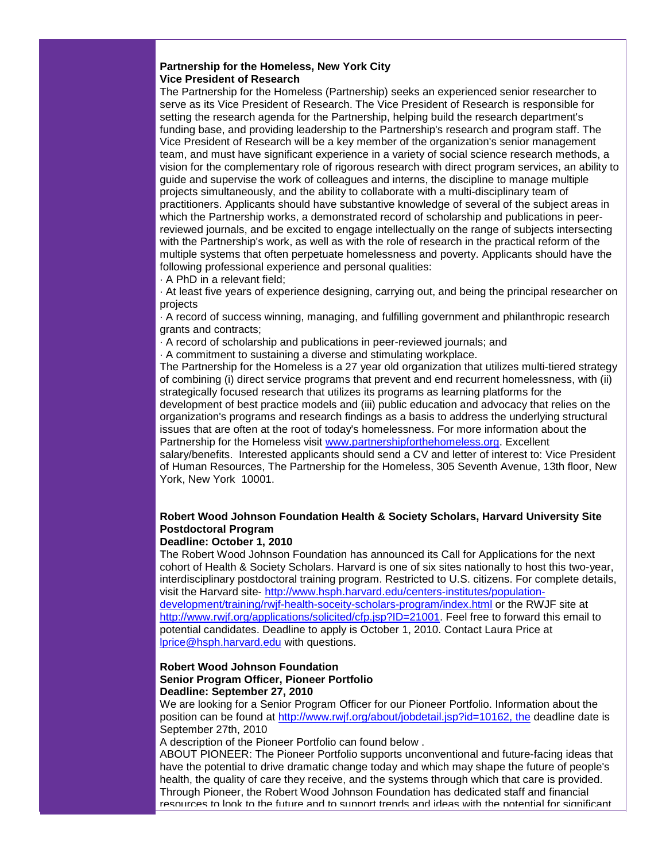#### **Partnership for the Homeless, New York City Vice President of Research**

The Partnership for the Homeless (Partnership) seeks an experienced senior researcher to serve as its Vice President of Research. The Vice President of Research is responsible for setting the research agenda for the Partnership, helping build the research department's funding base, and providing leadership to the Partnership's research and program staff. The Vice President of Research will be a key member of the organization's senior management team, and must have significant experience in a variety of social science research methods, a vision for the complementary role of rigorous research with direct program services, an ability to guide and supervise the work of colleagues and interns, the discipline to manage multiple projects simultaneously, and the ability to collaborate with a multi-disciplinary team of practitioners. Applicants should have substantive knowledge of several of the subject areas in which the Partnership works, a demonstrated record of scholarship and publications in peerreviewed journals, and be excited to engage intellectually on the range of subjects intersecting with the Partnership's work, as well as with the role of research in the practical reform of the multiple systems that often perpetuate homelessness and poverty. Applicants should have the following professional experience and personal qualities:

· A PhD in a relevant field;

· At least five years of experience designing, carrying out, and being the principal researcher on projects

· A record of success winning, managing, and fulfilling government and philanthropic research grants and contracts;

· A record of scholarship and publications in peer-reviewed journals; and

· A commitment to sustaining a diverse and stimulating workplace.

The Partnership for the Homeless is a 27 year old organization that utilizes multi-tiered strategy of combining (i) direct service programs that prevent and end recurrent homelessness, with (ii) strategically focused research that utilizes its programs as learning platforms for the development of best practice models and (iii) public education and advocacy that relies on the organization's programs and research findings as a basis to address the underlying structural issues that are often at the root of today's homelessness. For more information about the Partnership for the Homeless visit [www.partnershipforthehomeless.org.](http://r20.rs6.net/tn.jsp?llr=5gytkqcab&et=1103683950222&s=1&e=001-bnjQJfF5_bUUF-lHDDrTXvBkvHrT6tMmoEaaRZsY8L2f-2gJWfTO8IqV_I05ILxraMZmXcY-u2vt3mGiOYn1APYlhrQFVknuPAQ71HJbtQSQW0OOy6jXyenDXreBLHsir5uAxiELps=) Excellent salary/benefits. Interested applicants should send a CV and letter of interest to: Vice President of Human Resources, The Partnership for the Homeless, 305 Seventh Avenue, 13th floor, New York, New York 10001.

# **Robert Wood Johnson Foundation Health & Society Scholars, Harvard University Site Postdoctoral Program**

## **Deadline: October 1, 2010**

The Robert Wood Johnson Foundation has announced its Call for Applications for the next cohort of Health & Society Scholars. Harvard is one of six sites nationally to host this two-year, interdisciplinary postdoctoral training program. Restricted to U.S. citizens. For complete details, visit the Harvard site- [http://www.hsph.harvard.edu/centers-institutes/population](http://r20.rs6.net/tn.jsp?llr=5gytkqcab&et=1103683950222&s=1&e=001-bnjQJfF5_bSMu7j-1Lho2FkbtmqL3YVDDhcveW_YncyIxmbecdgN0psJnTrLkjyC03bLbqaiDnKTFae28JgWuze0-JZ8XVXxwo-Wa6YCFITK5J5gJfq8jE3RlfkYkukj6rjCP2qYtqN8zXv_lkrlLn88PE3gG9QY4n3NV_isMqKKorPX0FV5MyOV_GOCi52EgG58I5CFfZboGpGJM-HZk30mzWfUh6zBL7cNSvZofC4s4CxReK5SFwMXPInk_lU)[development/training/rwjf-health-soceity-scholars-program/index.html](http://r20.rs6.net/tn.jsp?llr=5gytkqcab&et=1103683950222&s=1&e=001-bnjQJfF5_bSMu7j-1Lho2FkbtmqL3YVDDhcveW_YncyIxmbecdgN0psJnTrLkjyC03bLbqaiDnKTFae28JgWuze0-JZ8XVXxwo-Wa6YCFITK5J5gJfq8jE3RlfkYkukj6rjCP2qYtqN8zXv_lkrlLn88PE3gG9QY4n3NV_isMqKKorPX0FV5MyOV_GOCi52EgG58I5CFfZboGpGJM-HZk30mzWfUh6zBL7cNSvZofC4s4CxReK5SFwMXPInk_lU) or the RWJF site at [http://www.rwjf.org/applications/solicited/cfp.jsp?ID=21001.](http://r20.rs6.net/tn.jsp?llr=5gytkqcab&et=1103683950222&s=1&e=001-bnjQJfF5_Y_H9fON0vEQaJcu9LkMHvqsMEckoQB_56srGj56ClPyQdPfgvzS4FhxNQVP5ICztOaEAOQco22VjwtyqSpOfjnxUtcHACsxk9zsL2WpldNopl9DZP_Dhlaosx5ijBEpDX1f8F4iISIp56D4JbYYmwPZ1nxWDKUVFA=) Feel free to forward this email to potential candidates. Deadline to apply is October 1, 2010. Contact Laura Price at [lprice@hsph.harvard.edu](mailto:lprice@hsph.harvard.edu) with questions.

## **Robert Wood Johnson Foundation Senior Program Officer, Pioneer Portfolio Deadline: September 27, 2010**

We are looking for a Senior Program Officer for our Pioneer Portfolio. Information about the position can be found at [http://www.rwjf.org/about/jobdetail.jsp?id=10162, the](http://r20.rs6.net/tn.jsp?llr=5gytkqcab&et=1103683950222&s=1&e=001-bnjQJfF5_aUK4ZkXJa7-UKSiLJcUUor_nEFAzibt7tMEthXUlgs31QhUs--WoGpVfDX5cU4DuPa3CyblFaTMazP-ah0lIjCtvwaBuKS43-DPJqt8zOeA73tB_nt2bA1t5aDMd06Czvvnuh6db1wMTh5zxxFF2aV) deadline date is September 27th, 2010

A description of the Pioneer Portfolio can found below .

ABOUT PIONEER: The Pioneer Portfolio supports unconventional and future-facing ideas that have the potential to drive dramatic change today and which may shape the future of people's health, the quality of care they receive, and the systems through which that care is provided. Through Pioneer, the Robert Wood Johnson Foundation has dedicated staff and financial resources to look to the future and to support trends and ideas with the potential for significant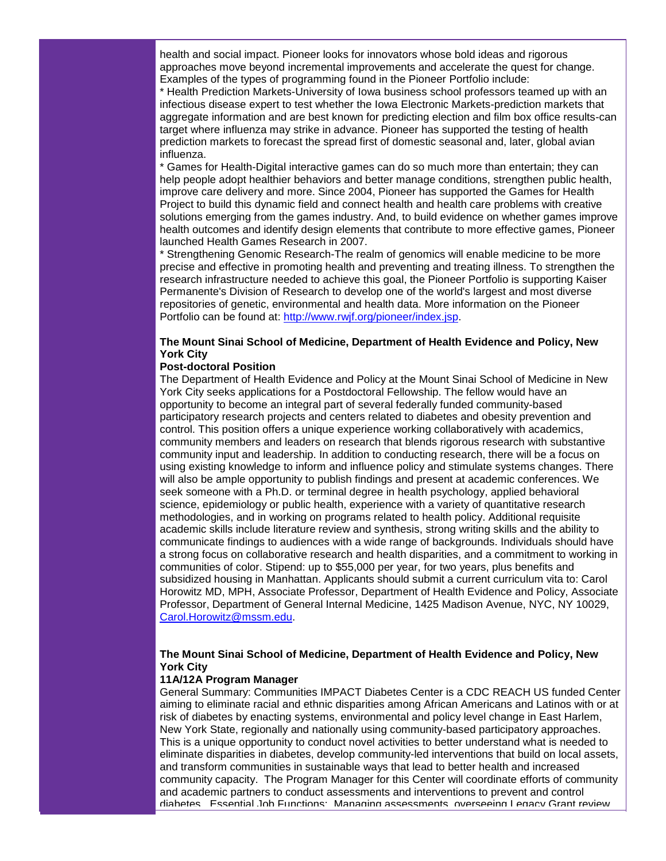health and social impact. Pioneer looks for innovators whose bold ideas and rigorous approaches move beyond incremental improvements and accelerate the quest for change. Examples of the types of programming found in the Pioneer Portfolio include:

\* Health Prediction Markets-University of Iowa business school professors teamed up with an infectious disease expert to test whether the Iowa Electronic Markets-prediction markets that aggregate information and are best known for predicting election and film box office results-can target where influenza may strike in advance. Pioneer has supported the testing of health prediction markets to forecast the spread first of domestic seasonal and, later, global avian influenza.

\* Games for Health-Digital interactive games can do so much more than entertain; they can help people adopt healthier behaviors and better manage conditions, strengthen public health, improve care delivery and more. Since 2004, Pioneer has supported the Games for Health Project to build this dynamic field and connect health and health care problems with creative solutions emerging from the games industry. And, to build evidence on whether games improve health outcomes and identify design elements that contribute to more effective games, Pioneer launched Health Games Research in 2007.

\* Strengthening Genomic Research-The realm of genomics will enable medicine to be more precise and effective in promoting health and preventing and treating illness. To strengthen the research infrastructure needed to achieve this goal, the Pioneer Portfolio is supporting Kaiser Permanente's Division of Research to develop one of the world's largest and most diverse repositories of genetic, environmental and health data. More information on the Pioneer Portfolio can be found at: [http://www.rwjf.org/pioneer/index.jsp.](http://r20.rs6.net/tn.jsp?llr=5gytkqcab&et=1103683950222&s=1&e=001-bnjQJfF5_ZTvS3MjPabINuJzTfAmi4TJUOC6JdWa1v5gi9vCfDoifGMSHTVrx1mcSyQ9PTLFrrmlBkbJnffoPJ1Gx7_K1dGqYDooUHNIP8JvcYlLtCvkLnimcFigqfM)

## **The Mount Sinai School of Medicine, Department of Health Evidence and Policy, New York City**

#### **Post-doctoral Position**

The Department of Health Evidence and Policy at the Mount Sinai School of Medicine in New York City seeks applications for a Postdoctoral Fellowship. The fellow would have an opportunity to become an integral part of several federally funded community-based participatory research projects and centers related to diabetes and obesity prevention and control. This position offers a unique experience working collaboratively with academics, community members and leaders on research that blends rigorous research with substantive community input and leadership. In addition to conducting research, there will be a focus on using existing knowledge to inform and influence policy and stimulate systems changes. There will also be ample opportunity to publish findings and present at academic conferences. We seek someone with a Ph.D. or terminal degree in health psychology, applied behavioral science, epidemiology or public health, experience with a variety of quantitative research methodologies, and in working on programs related to health policy. Additional requisite academic skills include literature review and synthesis, strong writing skills and the ability to communicate findings to audiences with a wide range of backgrounds. Individuals should have a strong focus on collaborative research and health disparities, and a commitment to working in communities of color. Stipend: up to \$55,000 per year, for two years, plus benefits and subsidized housing in Manhattan. Applicants should submit a current curriculum vita to: Carol Horowitz MD, MPH, Associate Professor, Department of Health Evidence and Policy, Associate Professor, Department of General Internal Medicine, 1425 Madison Avenue, NYC, NY 10029, [Carol.Horowitz@mssm.edu.](mailto:Carol.Horowitz@mssm.edu)

# **The Mount Sinai School of Medicine, Department of Health Evidence and Policy, New York City**

## **11A/12A Program Manager**

General Summary: Communities IMPACT Diabetes Center is a CDC REACH US funded Center aiming to eliminate racial and ethnic disparities among African Americans and Latinos with or at risk of diabetes by enacting systems, environmental and policy level change in East Harlem, New York State, regionally and nationally using community-based participatory approaches. This is a unique opportunity to conduct novel activities to better understand what is needed to eliminate disparities in diabetes, develop community-led interventions that build on local assets, and transform communities in sustainable ways that lead to better health and increased community capacity. The Program Manager for this Center will coordinate efforts of community and academic partners to conduct assessments and interventions to prevent and control diabetes. Essential Job Functions: Managing assessments, overseeing Legacy Grant review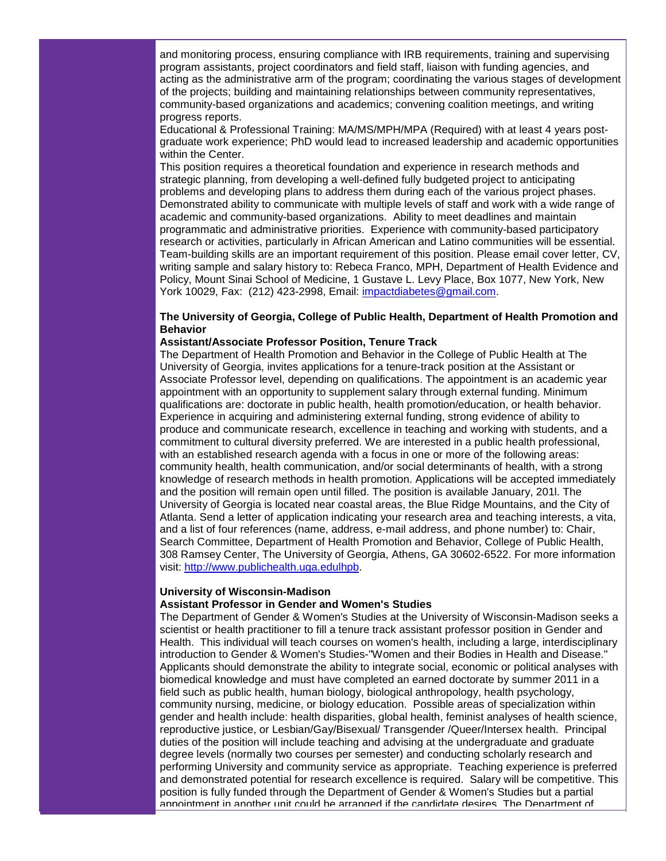and monitoring process, ensuring compliance with IRB requirements, training and supervising program assistants, project coordinators and field staff, liaison with funding agencies, and acting as the administrative arm of the program; coordinating the various stages of development of the projects; building and maintaining relationships between community representatives, community-based organizations and academics; convening coalition meetings, and writing progress reports.

Educational & Professional Training: MA/MS/MPH/MPA (Required) with at least 4 years postgraduate work experience; PhD would lead to increased leadership and academic opportunities within the Center.

This position requires a theoretical foundation and experience in research methods and strategic planning, from developing a well-defined fully budgeted project to anticipating problems and developing plans to address them during each of the various project phases. Demonstrated ability to communicate with multiple levels of staff and work with a wide range of academic and community-based organizations. Ability to meet deadlines and maintain programmatic and administrative priorities. Experience with community-based participatory research or activities, particularly in African American and Latino communities will be essential. Team-building skills are an important requirement of this position. Please email cover letter, CV, writing sample and salary history to: Rebeca Franco, MPH, Department of Health Evidence and Policy, Mount Sinai School of Medicine, 1 Gustave L. Levy Place, Box 1077, New York, New York 10029, Fax: (212) 423-2998, Email: [impactdiabetes@gmail.com.](mailto:impactdiabetes@gmail.com)

# **The University of Georgia, College of Public Health, Department of Health Promotion and Behavior**

#### **Assistant/Associate Professor Position, Tenure Track**

The Department of Health Promotion and Behavior in the College of Public Health at The University of Georgia, invites applications for a tenure-track position at the Assistant or Associate Professor level, depending on qualifications. The appointment is an academic year appointment with an opportunity to supplement salary through external funding. Minimum qualifications are: doctorate in public health, health promotion/education, or health behavior. Experience in acquiring and administering external funding, strong evidence of ability to produce and communicate research, excellence in teaching and working with students, and a commitment to cultural diversity preferred. We are interested in a public health professional, with an established research agenda with a focus in one or more of the following areas: community health, health communication, and/or social determinants of health, with a strong knowledge of research methods in health promotion. Applications will be accepted immediately and the position will remain open until filled. The position is available January, 201l. The University of Georgia is located near coastal areas, the Blue Ridge Mountains, and the City of Atlanta. Send a letter of application indicating your research area and teaching interests, a vita, and a list of four references (name, address, e-mail address, and phone number) to: Chair, Search Committee, Department of Health Promotion and Behavior, College of Public Health, 308 Ramsey Center, The University of Georgia, Athens, GA 30602-6522. For more information visit: [http://www.publichealth.uga.edulhpb.](http://r20.rs6.net/tn.jsp?llr=5gytkqcab&et=1103683950222&s=1&e=001-bnjQJfF5_bBL_m1sQIyR_In5oz8GIY6w7VyNW2d6UhDXtCg-Bef5VfLmvpBB5MGQaqE_c5qPQBAU-62l515TbyulOGKwUMkykoL-F47r24MvJjSG_5EevVIleUhVy7_)

#### **University of Wisconsin-Madison**

#### **Assistant Professor in Gender and Women's Studies**

The Department of Gender & Women's Studies at the University of Wisconsin-Madison seeks a scientist or health practitioner to fill a tenure track assistant professor position in Gender and Health. This individual will teach courses on women's health, including a large, interdisciplinary introduction to Gender & Women's Studies-"Women and their Bodies in Health and Disease." Applicants should demonstrate the ability to integrate social, economic or political analyses with biomedical knowledge and must have completed an earned doctorate by summer 2011 in a field such as public health, human biology, biological anthropology, health psychology, community nursing, medicine, or biology education. Possible areas of specialization within gender and health include: health disparities, global health, feminist analyses of health science, reproductive justice, or Lesbian/Gay/Bisexual/ Transgender /Queer/Intersex health. Principal duties of the position will include teaching and advising at the undergraduate and graduate degree levels (normally two courses per semester) and conducting scholarly research and performing University and community service as appropriate. Teaching experience is preferred and demonstrated potential for research excellence is required. Salary will be competitive. This position is fully funded through the Department of Gender & Women's Studies but a partial appointment in another unit could be arranged if the candidate desires. The Department of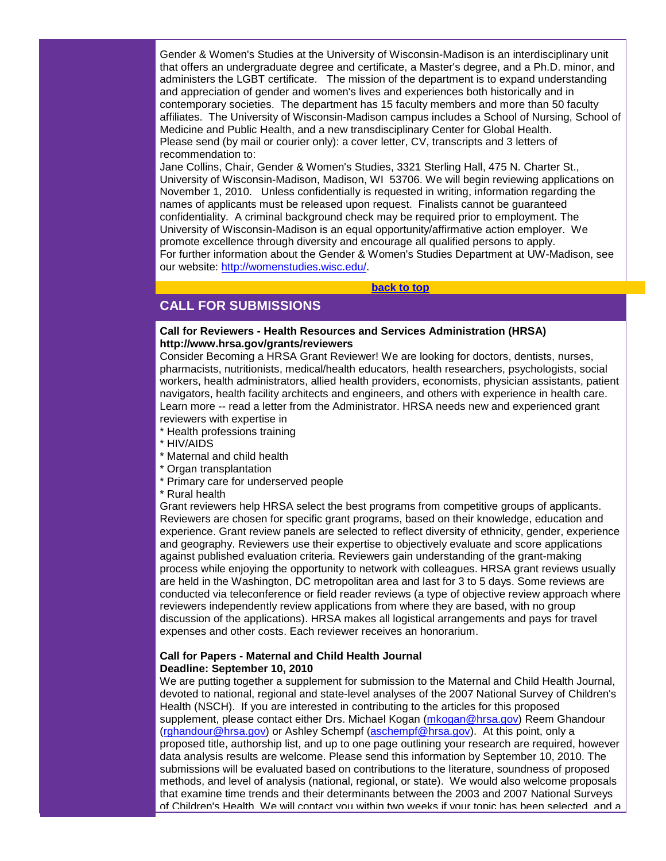Gender & Women's Studies at the University of Wisconsin-Madison is an interdisciplinary unit that offers an undergraduate degree and certificate, a Master's degree, and a Ph.D. minor, and administers the LGBT certificate. The mission of the department is to expand understanding and appreciation of gender and women's lives and experiences both historically and in contemporary societies. The department has 15 faculty members and more than 50 faculty affiliates. The University of Wisconsin-Madison campus includes a School of Nursing, School of Medicine and Public Health, and a new transdisciplinary Center for Global Health. Please send (by mail or courier only): a cover letter, CV, transcripts and 3 letters of recommendation to:

Jane Collins, Chair, Gender & Women's Studies, 3321 Sterling Hall, 475 N. Charter St., University of Wisconsin-Madison, Madison, WI 53706. We will begin reviewing applications on November 1, 2010. Unless confidentially is requested in writing, information regarding the names of applicants must be released upon request. Finalists cannot be guaranteed confidentiality. A criminal background check may be required prior to employment. The University of Wisconsin-Madison is an equal opportunity/affirmative action employer. We promote excellence through diversity and encourage all qualified persons to apply. For further information about the Gender & Women's Studies Department at UW-Madison, see our website: [http://womenstudies.wisc.edu/.](http://r20.rs6.net/tn.jsp?llr=5gytkqcab&et=1103683950222&s=1&e=001-bnjQJfF5_Y-tPcIWI4j35yCl3vWSpoNMB6-bI4BLQqdRwtk2T1oX7jaQLgxJ35WMMPwSo6A34Em6qmekjPxrIBLWX-e9S3qbty_vkQQP-DS79xWPggDoA==)

#### **[back to top](#page-0-2)**

# <span id="page-9-0"></span>**CALL FOR SUBMISSIONS**

#### **Call for Reviewers - Health Resources and Services Administration (HRSA) [http://www.hrsa.gov/grants/reviewers](http://r20.rs6.net/tn.jsp?llr=5gytkqcab&et=1103683950222&s=1&e=001-bnjQJfF5_a2L00Oxas1b6-5xXpgO7zDHHTs07KbAt7l8KxJ0wgM4vB1A6zvqRYYjKZrBXi03ucnb1Ue5uXd8_cL6RZQH7tzDFp2jSP4FZAHFv93-NlQxhSLccrHCPWb)**

Consider Becoming a HRSA Grant Reviewer! We are looking for doctors, dentists, nurses, pharmacists, nutritionists, medical/health educators, health researchers, psychologists, social workers, health administrators, allied health providers, economists, physician assistants, patient navigators, health facility architects and engineers, and others with experience in health care. Learn more -- read a letter from the Administrator. HRSA needs new and experienced grant reviewers with expertise in

- \* Health professions training
- \* HIV/AIDS
- \* Maternal and child health
- \* Organ transplantation
- \* Primary care for underserved people
- \* Rural health

Grant reviewers help HRSA select the best programs from competitive groups of applicants. Reviewers are chosen for specific grant programs, based on their knowledge, education and experience. Grant review panels are selected to reflect diversity of ethnicity, gender, experience and geography. Reviewers use their expertise to objectively evaluate and score applications against published evaluation criteria. Reviewers gain understanding of the grant-making process while enjoying the opportunity to network with colleagues. HRSA grant reviews usually are held in the Washington, DC metropolitan area and last for 3 to 5 days. Some reviews are conducted via teleconference or field reader reviews (a type of objective review approach where reviewers independently review applications from where they are based, with no group discussion of the applications). HRSA makes all logistical arrangements and pays for travel expenses and other costs. Each reviewer receives an honorarium.

## **Call for Papers - Maternal and Child Health Journal Deadline: September 10, 2010**

We are putting together a supplement for submission to the Maternal and Child Health Journal, devoted to national, regional and state-level analyses of the 2007 National Survey of Children's Health (NSCH). If you are interested in contributing to the articles for this proposed supplement, please contact either Drs. Michael Kogan [\(mkogan@hrsa.gov\)](mailto:mkogan@hrsa.gov) Reem Ghandour [\(rghandour@hrsa.gov\)](mailto:rghandour@hrsa.gov) or Ashley Schempf [\(aschempf@hrsa.gov\)](mailto:aschempf@hrsa.gov). At this point, only a proposed title, authorship list, and up to one page outlining your research are required, however data analysis results are welcome. Please send this information by September 10, 2010. The submissions will be evaluated based on contributions to the literature, soundness of proposed methods, and level of analysis (national, regional, or state). We would also welcome proposals that examine time trends and their determinants between the 2003 and 2007 National Surveys of Children's Health. We will contact you within two weeks if your topic has been selected, and a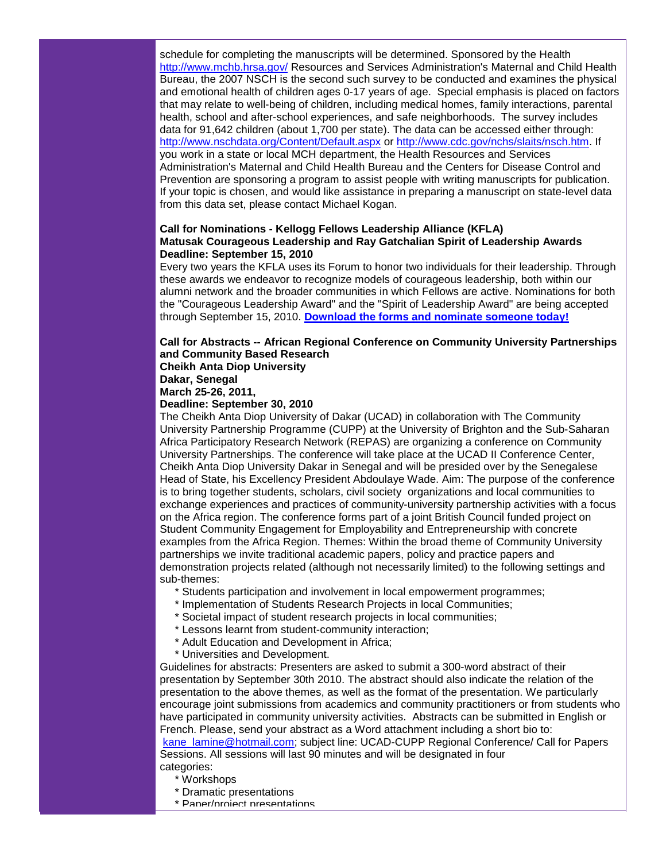schedule for completing the manuscripts will be determined. Sponsored by the Health [http://www.mchb.hrsa.gov/](http://r20.rs6.net/tn.jsp?llr=5gytkqcab&et=1103683950222&s=1&e=001-bnjQJfF5_bK53WWSEpy36nH9kUV2ENS1ADy99nNv8s2Bt9qWFBnwueWzjS8kQODo3XU3vy06IdnWMLgFnXDcJZvTVDwFKXMLJ0VgZkeFkgFxOQqASWdzQ==) Resources and Services Administration's Maternal and Child Health Bureau, the 2007 NSCH is the second such survey to be conducted and examines the physical and emotional health of children ages 0-17 years of age. Special emphasis is placed on factors that may relate to well-being of children, including medical homes, family interactions, parental health, school and after-school experiences, and safe neighborhoods. The survey includes data for 91,642 children (about 1,700 per state). The data can be accessed either through: [http://www.nschdata.org/Content/Default.aspx](http://r20.rs6.net/tn.jsp?llr=5gytkqcab&et=1103683950222&s=1&e=001-bnjQJfF5_Y6a9ZdxVUdbUg4rc5BjD-sfJxhxjOehTBFjwFkRZejw2TdHeRBDGqlhtVbI8DnRB5h32aDefTIZDG6t4s8GgoseSKuuIGwcqnwScvUGTAePYbfvhPTFi6-AELMaAIIhQY=) or [http://www.cdc.gov/nchs/slaits/nsch.htm.](http://r20.rs6.net/tn.jsp?llr=5gytkqcab&et=1103683950222&s=1&e=001-bnjQJfF5_b9Y1iI5t4JPvs2e9vknWm_ylaSI02ExrbcfNJ77QxRnLw0O2vQd8BfRse94o7_wvmNHxq6QBjnqvK30i9rjOmAe4RvF1o6bO7lWXnjrjaPg0HAQK3hAXTUIKG-EVrWK5s=) If you work in a state or local MCH department, the Health Resources and Services Administration's Maternal and Child Health Bureau and the Centers for Disease Control and Prevention are sponsoring a program to assist people with writing manuscripts for publication. If your topic is chosen, and would like assistance in preparing a manuscript on state-level data from this data set, please contact Michael Kogan.

## **Call for Nominations - Kellogg Fellows Leadership Alliance (KFLA) Matusak Courageous Leadership and Ray Gatchalian Spirit of Leadership Awards Deadline: September 15, 2010**

Every two years the KFLA uses its Forum to honor two individuals for their leadership. Through these awards we endeavor to recognize models of courageous leadership, both within our alumni network and the broader communities in which Fellows are active. Nominations for both the "Courageous Leadership Award" and the "Spirit of Leadership Award" are being accepted through September 15, 2010. **[Download the forms and nominate someone today!](http://r20.rs6.net/tn.jsp?llr=5gytkqcab&et=1103683950222&s=1&e=001-bnjQJfF5_b6EVa2VarFEfCkMdSAIc8bzHMRRgFge4Ujv0AlH-UBJcKj_euVnrJMNNVCfPOiX72qmI5j1W6Svbd5mUU6CFTczE90VKYFo3o4XYwLhsbEh2xYtGRMGY9cDSymZZiF7Hc=)**

#### **Call for Abstracts -- African Regional Conference on Community University Partnerships and Community Based Research Cheikh Anta Diop University**

**Dakar, Senegal**

**March 25-26, 2011,** 

## **Deadline: September 30, 2010**

The Cheikh Anta Diop University of Dakar (UCAD) in collaboration with The Community University Partnership Programme (CUPP) at the University of Brighton and the Sub-Saharan Africa Participatory Research Network (REPAS) are organizing a conference on Community University Partnerships. The conference will take place at the UCAD II Conference Center, Cheikh Anta Diop University Dakar in Senegal and will be presided over by the Senegalese Head of State, his Excellency President Abdoulaye Wade. Aim: The purpose of the conference is to bring together students, scholars, civil society organizations and local communities to exchange experiences and practices of community-university partnership activities with a focus on the Africa region. The conference forms part of a joint British Council funded project on Student Community Engagement for Employability and Entrepreneurship with concrete examples from the Africa Region. Themes: Within the broad theme of Community University partnerships we invite traditional academic papers, policy and practice papers and demonstration projects related (although not necessarily limited) to the following settings and sub-themes:

- \* Students participation and involvement in local empowerment programmes;
- \* Implementation of Students Research Projects in local Communities;
- \* Societal impact of student research projects in local communities;
- \* Lessons learnt from student-community interaction;
- \* Adult Education and Development in Africa;
- \* Universities and Development.

Guidelines for abstracts: Presenters are asked to submit a 300-word abstract of their presentation by September 30th 2010. The abstract should also indicate the relation of the presentation to the above themes, as well as the format of the presentation. We particularly encourage joint submissions from academics and community practitioners or from students who have participated in community university activities. Abstracts can be submitted in English or French. Please, send your abstract as a Word attachment including a short bio to: [kane\\_lamine@hotmail.com;](mailto:kane_lamine@hotmail.com) subject line: UCAD-CUPP Regional Conference/ Call for Papers Sessions. All sessions will last 90 minutes and will be designated in four categories:

- \* Workshops
- \* Dramatic presentations
- \* Paper/project presentations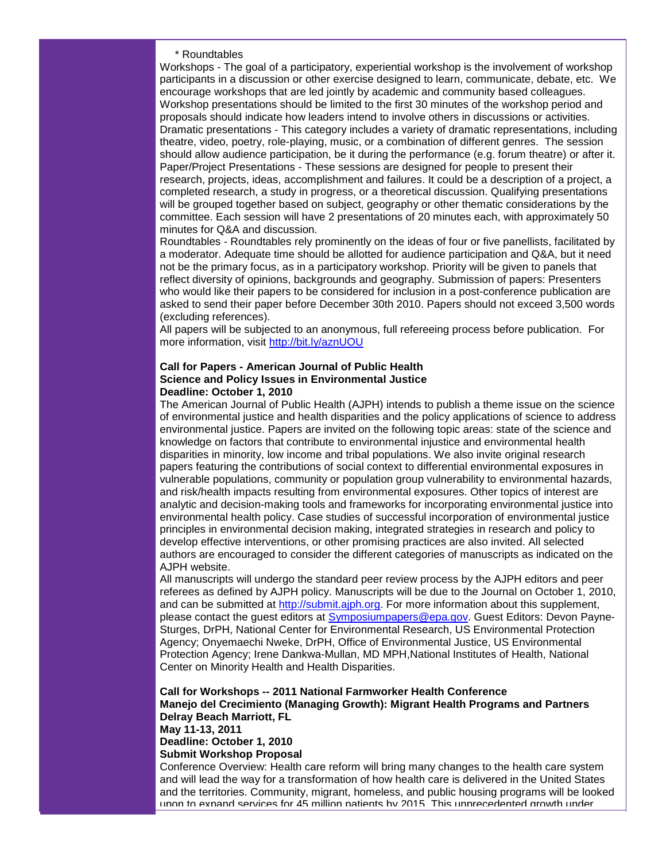#### \* Roundtables

Workshops - The goal of a participatory, experiential workshop is the involvement of workshop participants in a discussion or other exercise designed to learn, communicate, debate, etc. We encourage workshops that are led jointly by academic and community based colleagues. Workshop presentations should be limited to the first 30 minutes of the workshop period and proposals should indicate how leaders intend to involve others in discussions or activities. Dramatic presentations - This category includes a variety of dramatic representations, including theatre, video, poetry, role-playing, music, or a combination of different genres. The session should allow audience participation, be it during the performance (e.g. forum theatre) or after it. Paper/Project Presentations - These sessions are designed for people to present their research, projects, ideas, accomplishment and failures. It could be a description of a project, a completed research, a study in progress, or a theoretical discussion. Qualifying presentations will be grouped together based on subject, geography or other thematic considerations by the committee. Each session will have 2 presentations of 20 minutes each, with approximately 50 minutes for Q&A and discussion.

Roundtables - Roundtables rely prominently on the ideas of four or five panellists, facilitated by a moderator. Adequate time should be allotted for audience participation and Q&A, but it need not be the primary focus, as in a participatory workshop. Priority will be given to panels that reflect diversity of opinions, backgrounds and geography. Submission of papers: Presenters who would like their papers to be considered for inclusion in a post-conference publication are asked to send their paper before December 30th 2010. Papers should not exceed 3,500 words (excluding references).

All papers will be subjected to an anonymous, full refereeing process before publication. For more information, visit [http://bit.ly/aznUOU](http://r20.rs6.net/tn.jsp?llr=5gytkqcab&et=1103683950222&s=1&e=001-bnjQJfF5_ZjeNQrU5H8XF6YNmBAR9cyIVbAEDFYIP93CWn7ASLuuRhNd-T19Z5_sqpyvXutTnzGEJTit-JclrOdBAheS4UHi4Uc1XN02sQ=)

## **Call for Papers - American Journal of Public Health Science and Policy Issues in Environmental Justice Deadline: October 1, 2010**

The American Journal of Public Health (AJPH) intends to publish a theme issue on the science of environmental justice and health disparities and the policy applications of science to address environmental justice. Papers are invited on the following topic areas: state of the science and knowledge on factors that contribute to environmental injustice and environmental health disparities in minority, low income and tribal populations. We also invite original research papers featuring the contributions of social context to differential environmental exposures in vulnerable populations, community or population group vulnerability to environmental hazards, and risk/health impacts resulting from environmental exposures. Other topics of interest are analytic and decision-making tools and frameworks for incorporating environmental justice into environmental health policy. Case studies of successful incorporation of environmental justice principles in environmental decision making, integrated strategies in research and policy to develop effective interventions, or other promising practices are also invited. All selected authors are encouraged to consider the different categories of manuscripts as indicated on the AJPH website.

All manuscripts will undergo the standard peer review process by the AJPH editors and peer referees as defined by AJPH policy. Manuscripts will be due to the Journal on October 1, 2010, and can be submitted at [http://submit.ajph.org.](http://r20.rs6.net/tn.jsp?llr=5gytkqcab&et=1103683950222&s=1&e=001-bnjQJfF5_adDsn7mTqQm_NmoEho1rwb3mywSsGfsVSXqeMVWG9IPZ_NnGho7BesmXf61bnK8lQ-Ag2mM4ILl9kOLQTRHMYjZBv0Ean9gdc=) For more information about this supplement, please contact the guest editors at [Symposiumpapers@epa.gov.](mailto:Symposiumpapers@epa.gov) Guest Editors: Devon Payne-Sturges, DrPH, National Center for Environmental Research, US Environmental Protection Agency; Onyemaechi Nweke, DrPH, Office of Environmental Justice, US Environmental Protection Agency; Irene Dankwa-Mullan, MD MPH,National Institutes of Health, National Center on Minority Health and Health Disparities.

# **Call for Workshops -- 2011 National Farmworker Health Conference Manejo del Crecimiento (Managing Growth): Migrant Health Programs and Partners Delray Beach Marriott, FL May 11-13, 2011 Deadline: October 1, 2010**

**Submit Workshop Proposal**

Conference Overview: Health care reform will bring many changes to the health care system and will lead the way for a transformation of how health care is delivered in the United States and the territories. Community, migrant, homeless, and public housing programs will be looked upon to expand services for 45 million patients by 2015. This unprecedented growth under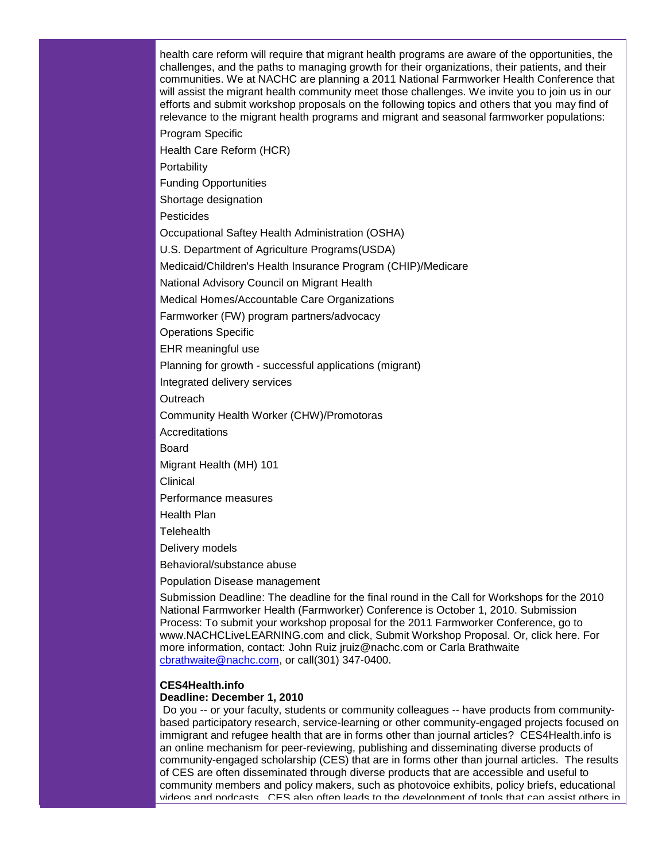health care reform will require that migrant health programs are aware of the opportunities, the challenges, and the paths to managing growth for their organizations, their patients, and their communities. We at NACHC are planning a 2011 National Farmworker Health Conference that will assist the migrant health community meet those challenges. We invite you to join us in our efforts and submit workshop proposals on the following topics and others that you may find of relevance to the migrant health programs and migrant and seasonal farmworker populations:

Program Specific

Health Care Reform (HCR)

**Portability** 

Funding Opportunities

Shortage designation

Pesticides

Occupational Saftey Health Administration (OSHA)

U.S. Department of Agriculture Programs(USDA)

Medicaid/Children's Health Insurance Program (CHIP)/Medicare

National Advisory Council on Migrant Health

Medical Homes/Accountable Care Organizations

Farmworker (FW) program partners/advocacy

Operations Specific

EHR meaningful use

Planning for growth - successful applications (migrant)

Integrated delivery services

**Outreach** 

Community Health Worker (CHW)/Promotoras

**Accreditations** 

Board

Migrant Health (MH) 101

Clinical

Performance measures

Health Plan

**Telehealth** 

Delivery models

Behavioral/substance abuse

Population Disease management

Submission Deadline: The deadline for the final round in the Call for Workshops for the 2010 National Farmworker Health (Farmworker) Conference is October 1, 2010. Submission Process: To submit your workshop proposal for the 2011 Farmworker Conference, go to www.NACHCLiveLEARNING.com and click, Submit Workshop Proposal. Or, click here. For more information, contact: John Ruiz jruiz@nachc.com or Carla Brathwaite [cbrathwaite@nachc.com,](mailto:cbrathwaite@nachc.com) or call(301) 347-0400.

#### **CES4Health.info Deadline: December 1, 2010**

Do you -- or your faculty, students or community colleagues -- have products from communitybased participatory research, service-learning or other community-engaged projects focused on immigrant and refugee health that are in forms other than journal articles? CES4Health.info is an online mechanism for peer-reviewing, publishing and disseminating diverse products of community-engaged scholarship (CES) that are in forms other than journal articles. The results of CES are often disseminated through diverse products that are accessible and useful to community members and policy makers, such as photovoice exhibits, policy briefs, educational videos and podcasts. CES also often leads to the development of tools that can assist others in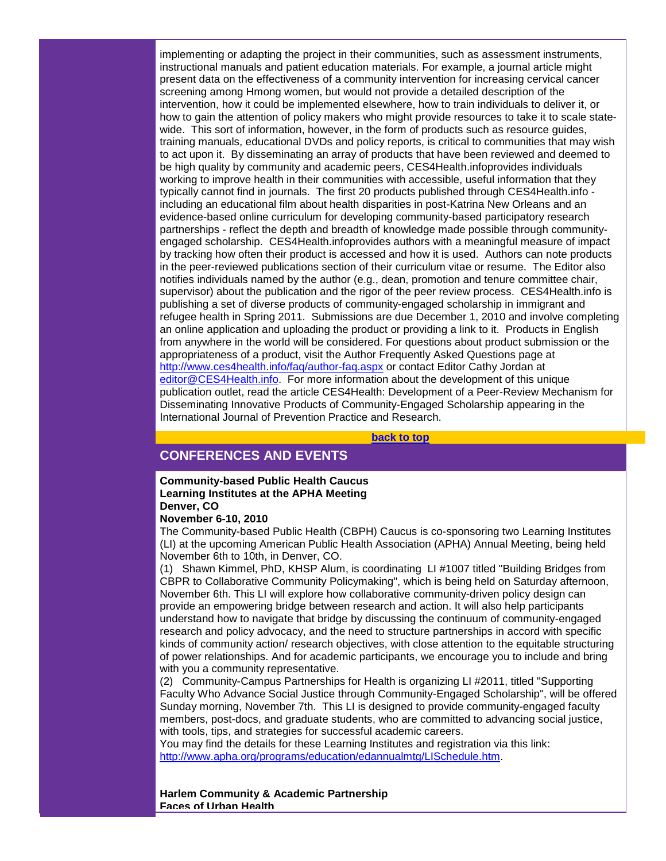implementing or adapting the project in their communities, such as assessment instruments, instructional manuals and patient education materials. For example, a journal article might present data on the effectiveness of a community intervention for increasing cervical cancer screening among Hmong women, but would not provide a detailed description of the intervention, how it could be implemented elsewhere, how to train individuals to deliver it, or how to gain the attention of policy makers who might provide resources to take it to scale statewide. This sort of information, however, in the form of products such as resource guides, training manuals, educational DVDs and policy reports, is critical to communities that may wish to act upon it. By disseminating an array of products that have been reviewed and deemed to be high quality by community and academic peers, CES4Health.infoprovides individuals working to improve health in their communities with accessible, useful information that they typically cannot find in journals. The first 20 products published through CES4Health.info including an educational film about health disparities in post-Katrina New Orleans and an evidence-based online curriculum for developing community-based participatory research partnerships - reflect the depth and breadth of knowledge made possible through communityengaged scholarship. CES4Health.infoprovides authors with a meaningful measure of impact by tracking how often their product is accessed and how it is used. Authors can note products in the peer-reviewed publications section of their curriculum vitae or resume. The Editor also notifies individuals named by the author (e.g., dean, promotion and tenure committee chair, supervisor) about the publication and the rigor of the peer review process. CES4Health.info is publishing a set of diverse products of community-engaged scholarship in immigrant and refugee health in Spring 2011. Submissions are due December 1, 2010 and involve completing an online application and uploading the product or providing a link to it. Products in English from anywhere in the world will be considered. For questions about product submission or the appropriateness of a product, visit the Author Frequently Asked Questions page at [http://www.ces4health.info/faq/author-faq.aspx](http://r20.rs6.net/tn.jsp?llr=5gytkqcab&et=1103683950222&s=1&e=001-bnjQJfF5_bdbEiKsoor1-iROhvCaCVie1ag0-1fvEKE_AD70-D1pnDB6lCIaV2q0GxUC-3MDiY4n6uHnf6WSDDsPHAGWbZBQhYwmK9iDxgyz89xH1rJR-pyolRtilnIPnky_RZnMwY=) or contact Editor Cathy Jordan at [editor@CES4Health.info.](mailto:editor@CES4Health.info) For more information about the development of this unique publication outlet, read the article CES4Health: Development of a Peer-Review Mechanism for Disseminating Innovative Products of Community-Engaged Scholarship appearing in the International Journal of Prevention Practice and Research.

**[back to top](#page-0-2)**

# <span id="page-13-0"></span>**CONFERENCES AND EVENTS**

#### **Community-based Public Health Caucus Learning Institutes at the APHA Meeting Denver, CO**

#### **November 6-10, 2010**

The Community-based Public Health (CBPH) Caucus is co-sponsoring two Learning Institutes (LI) at the upcoming American Public Health Association (APHA) Annual Meeting, being held November 6th to 10th, in Denver, CO.

(1) Shawn Kimmel, PhD, KHSP Alum, is coordinating LI #1007 titled "Building Bridges from CBPR to Collaborative Community Policymaking", which is being held on Saturday afternoon, November 6th. This LI will explore how collaborative community-driven policy design can provide an empowering bridge between research and action. It will also help participants understand how to navigate that bridge by discussing the continuum of community-engaged research and policy advocacy, and the need to structure partnerships in accord with specific kinds of community action/ research objectives, with close attention to the equitable structuring of power relationships. And for academic participants, we encourage you to include and bring with you a community representative.

(2) Community-Campus Partnerships for Health is organizing LI #2011, titled "Supporting Faculty Who Advance Social Justice through Community-Engaged Scholarship", will be offered Sunday morning, November 7th. This LI is designed to provide community-engaged faculty members, post-docs, and graduate students, who are committed to advancing social justice, with tools, tips, and strategies for successful academic careers.

You may find the details for these Learning Institutes and registration via this link: [http://www.apha.org/programs/education/edannualmtg/LISchedule.htm.](http://r20.rs6.net/tn.jsp?llr=5gytkqcab&et=1103683950222&s=1&e=001-bnjQJfF5_ah7YjFlT9183QL_Y5QQvt82MqK6L13Xvctw6HtVA7lUzHfwntd9Bamgf-bdPouomIq9o5Lue6zB1SBTim0-9Z4tAwCXHTffoQ1Ld4Su12dmYFUhGNgZ7fpD0L_P1OtkTJLUJ---9kjadKCVAvt81nR94U1sdvulfE=)

**Harlem Community & Academic Partnership Faces of Urban Health**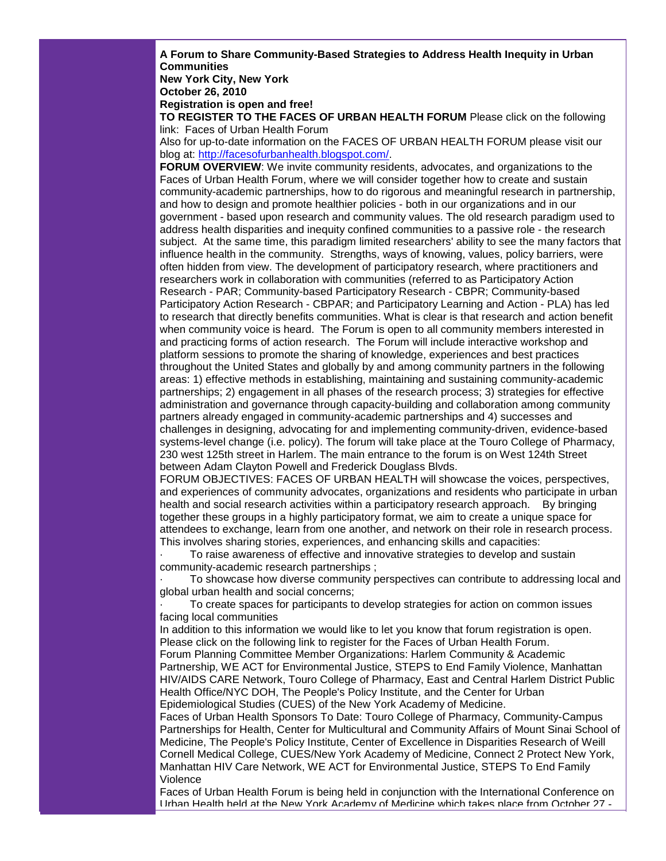**A Forum to Share Community-Based Strategies to Address Health Inequity in Urban Communities**

**New York City, New York**

**October 26, 2010 Registration is open and free!**

**TO REGISTER TO THE FACES OF URBAN HEALTH FORUM** Please click on the following link: Faces of Urban Health Forum

Also for up-to-date information on the FACES OF URBAN HEALTH FORUM please visit our blog at: [http://facesofurbanhealth.blogspot.com/.](http://r20.rs6.net/tn.jsp?llr=5gytkqcab&et=1103683950222&s=1&e=001-bnjQJfF5_a9KZHjDOlNC58tFkH6jzyIPZTBNfAVxKUayVPkYFFWNJLpY9mzrotc8o2dEk-1SUnJYOIbjPbYf2B47nNWspNtDMkqTDpJ2oTBe2SEfH9m42jXO-nj23Wl)

**FORUM OVERVIEW:** We invite community residents, advocates, and organizations to the Faces of Urban Health Forum, where we will consider together how to create and sustain community-academic partnerships, how to do rigorous and meaningful research in partnership, and how to design and promote healthier policies - both in our organizations and in our government - based upon research and community values. The old research paradigm used to address health disparities and inequity confined communities to a passive role - the research subject. At the same time, this paradigm limited researchers' ability to see the many factors that influence health in the community. Strengths, ways of knowing, values, policy barriers, were often hidden from view. The development of participatory research, where practitioners and researchers work in collaboration with communities (referred to as Participatory Action Research - PAR; Community-based Participatory Research - CBPR; Community-based Participatory Action Research - CBPAR; and Participatory Learning and Action - PLA) has led to research that directly benefits communities. What is clear is that research and action benefit when community voice is heard. The Forum is open to all community members interested in and practicing forms of action research. The Forum will include interactive workshop and platform sessions to promote the sharing of knowledge, experiences and best practices throughout the United States and globally by and among community partners in the following areas: 1) effective methods in establishing, maintaining and sustaining community-academic partnerships; 2) engagement in all phases of the research process; 3) strategies for effective administration and governance through capacity-building and collaboration among community partners already engaged in community-academic partnerships and 4) successes and challenges in designing, advocating for and implementing community-driven, evidence-based systems-level change (i.e. policy). The forum will take place at the Touro College of Pharmacy, 230 west 125th street in Harlem. The main entrance to the forum is on West 124th Street between Adam Clayton Powell and Frederick Douglass Blvds.

FORUM OBJECTIVES: FACES OF URBAN HEALTH will showcase the voices, perspectives, and experiences of community advocates, organizations and residents who participate in urban health and social research activities within a participatory research approach. By bringing together these groups in a highly participatory format, we aim to create a unique space for attendees to exchange, learn from one another, and network on their role in research process. This involves sharing stories, experiences, and enhancing skills and capacities:

· To raise awareness of effective and innovative strategies to develop and sustain community-academic research partnerships ;

· To showcase how diverse community perspectives can contribute to addressing local and global urban health and social concerns;

To create spaces for participants to develop strategies for action on common issues facing local communities

In addition to this information we would like to let you know that forum registration is open. Please click on the following link to register for the Faces of Urban Health Forum. Forum Planning Committee Member Organizations: Harlem Community & Academic Partnership, WE ACT for Environmental Justice, STEPS to End Family Violence, Manhattan HIV/AIDS CARE Network, Touro College of Pharmacy, East and Central Harlem District Public Health Office/NYC DOH, The People's Policy Institute, and the Center for Urban Epidemiological Studies (CUES) of the New York Academy of Medicine.

Faces of Urban Health Sponsors To Date: Touro College of Pharmacy, Community-Campus Partnerships for Health, Center for Multicultural and Community Affairs of Mount Sinai School of Medicine, The People's Policy Institute, Center of Excellence in Disparities Research of Weill Cornell Medical College, CUES/New York Academy of Medicine, Connect 2 Protect New York, Manhattan HIV Care Network, WE ACT for Environmental Justice, STEPS To End Family Violence

Faces of Urban Health Forum is being held in conjunction with the International Conference on Urban Health held at the New York Academy of Medicine which takes place from October 27 -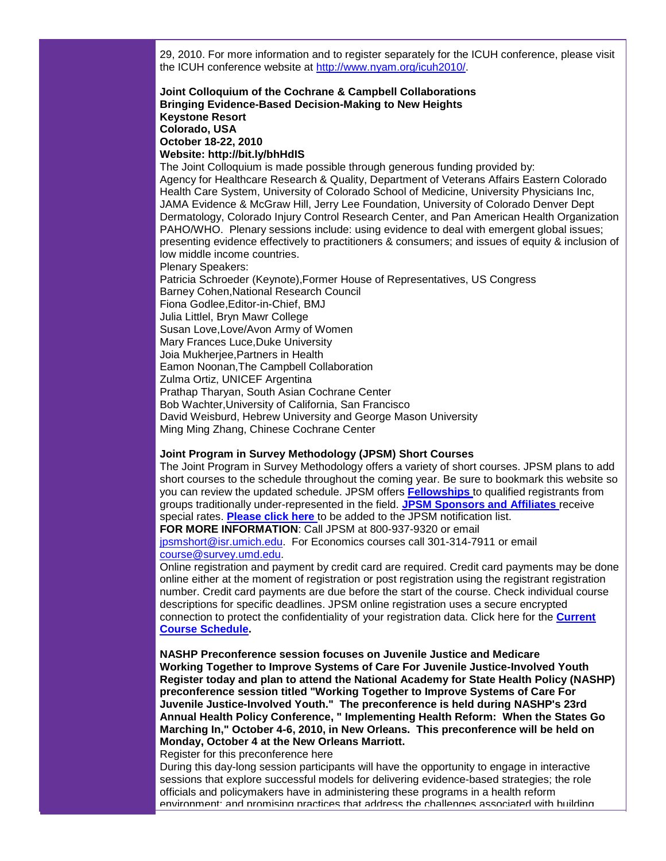29, 2010. For more information and to register separately for the ICUH conference, please visit the ICUH conference website at [http://www.nyam.org/icuh2010/.](http://r20.rs6.net/tn.jsp?llr=5gytkqcab&et=1103683950222&s=1&e=001-bnjQJfF5_ZYZT6uvh_5ih-woOKIw1c359AoPPmEd850xsnqtnJvMZVNqjGCpnVAIh3vjbf26TwrwXeMane-pWb1zSKZDHZT0ek1MGyWL0hGX2mWfNlVaA==)

#### **Joint Colloquium of the Cochrane & Campbell Collaborations Bringing Evidence-Based Decision-Making to New Heights Keystone Resort Colorado, USA October 18-22, 2010 Website: http://bit.ly/bhHdIS**

The Joint Colloquium is made possible through generous funding provided by: Agency for Healthcare Research & Quality, Department of Veterans Affairs Eastern Colorado Health Care System, University of Colorado School of Medicine, University Physicians Inc, JAMA Evidence & McGraw Hill, Jerry Lee Foundation, University of Colorado Denver Dept Dermatology, Colorado Injury Control Research Center, and Pan American Health Organization PAHO/WHO. Plenary sessions include: using evidence to deal with emergent global issues; presenting evidence effectively to practitioners & consumers; and issues of equity & inclusion of low middle income countries. Plenary Speakers: Patricia Schroeder (Keynote),Former House of Representatives, US Congress Barney Cohen,National Research Council Fiona Godlee,Editor-in-Chief, BMJ Julia Littlel, Bryn Mawr College Susan Love,Love/Avon Army of Women Mary Frances Luce,Duke University Joia Mukherjee,Partners in Health Eamon Noonan,The Campbell Collaboration Zulma Ortiz, UNICEF Argentina Prathap Tharyan, South Asian Cochrane Center Bob Wachter,University of California, San Francisco David Weisburd, Hebrew University and George Mason University

Ming Ming Zhang, Chinese Cochrane Center

# **Joint Program in Survey Methodology (JPSM) Short Courses**

The Joint Program in Survey Methodology offers a variety of short courses. JPSM plans to add short courses to the schedule throughout the coming year. Be sure to bookmark this website so you can review the updated schedule. JPSM offers **[Fellowships](http://r20.rs6.net/tn.jsp?llr=5gytkqcab&et=1103683950222&s=1&e=001-bnjQJfF5_bzUui1KDh6AVUoP7Cb-A0nA8O7B-W4pstmi3ovsau0y8RmwRbMNyd9eU-AwY_uJCLQgU0H0pAPUxqOswa-h3b7G9WNUmTtlfMn7IcWeDU4ZNzJ9xE5YpMbP4rAeCRRnkKGdHIcNOsl7WIluJ9cLDr3)** to qualified registrants from groups traditionally under-represented in the field. **[JPSM Sponsors and Affiliates](http://r20.rs6.net/tn.jsp?llr=5gytkqcab&et=1103683950222&s=1&e=001-bnjQJfF5_ZgLkHZS6uSS17xF0WhoNuh3D1aC2o2C9SoH7XHA8Mg_W61NZLp7gBvJzMY63eexJIe8fxqBFx1Og9INQvy7yXInoprXkeDcVLy0cctGTZ2dBuD2rp-OeUwKbYcd65Tl-AkgmHkt7KhbqFgsI_gHOCc)** receive special rates. **[Please click here](http://r20.rs6.net/tn.jsp?llr=5gytkqcab&et=1103683950222&s=1&e=001-bnjQJfF5_ZqEP2JwbfDcrGpO7yux8ib1vwqWCZzTXj5SkphghRC8xn--ubjmQPeprX8iTQzpeGxrb5PmG3SAnSkJriN18kc8dp6TlOVx4Bqf2_DtUAjGsQUdJYRl1eZixRGA-EAZvQ=)** to be added to the JPSM notification list. **FOR MORE INFORMATION**: Call JPSM at 800-937-9320 or email [jpsmshort@isr.umich.edu.](mailto:jpsmshort@isr.umich.edu) For Economics courses call 301-314-7911 or email

[course@survey.umd.edu.](mailto:course@survey.umd.edu) 

Online registration and payment by credit card are required. Credit card payments may be done online either at the moment of registration or post registration using the registrant registration number. Credit card payments are due before the start of the course. Check individual course descriptions for specific deadlines. JPSM online registration uses a secure encrypted connection to protect the confidentiality of your registration data. Click here for the **[Current](http://r20.rs6.net/tn.jsp?llr=5gytkqcab&et=1103683950222&s=1&e=001-bnjQJfF5_b6EVa2VarFEfCkMdSAIc8bzHMRRgFge4Ujv0AlH-UBJcKj_euVnrJMNNVCfPOiX72qmI5j1W6Svbd5mUU6CFTczE90VKYFo3o4XYwLhsbEh2xYtGRMGY9cDSymZZiF7Hc=)  [Course Schedule.](http://r20.rs6.net/tn.jsp?llr=5gytkqcab&et=1103683950222&s=1&e=001-bnjQJfF5_b6EVa2VarFEfCkMdSAIc8bzHMRRgFge4Ujv0AlH-UBJcKj_euVnrJMNNVCfPOiX72qmI5j1W6Svbd5mUU6CFTczE90VKYFo3o4XYwLhsbEh2xYtGRMGY9cDSymZZiF7Hc=)** 

**NASHP Preconference session focuses on Juvenile Justice and Medicare Working Together to Improve Systems of Care For Juvenile Justice-Involved Youth Register today and plan to attend the National Academy for State Health Policy (NASHP) preconference session titled "Working Together to Improve Systems of Care For Juvenile Justice-Involved Youth." The preconference is held during NASHP's 23rd Annual Health Policy Conference, " Implementing Health Reform: When the States Go Marching In," October 4-6, 2010, in New Orleans. This preconference will be held on Monday, October 4 at the New Orleans Marriott.**

Register for this preconference here

During this day-long session participants will have the opportunity to engage in interactive sessions that explore successful models for delivering evidence-based strategies; the role officials and policymakers have in administering these programs in a health reform environment; and promising practices that address the challenges associated with building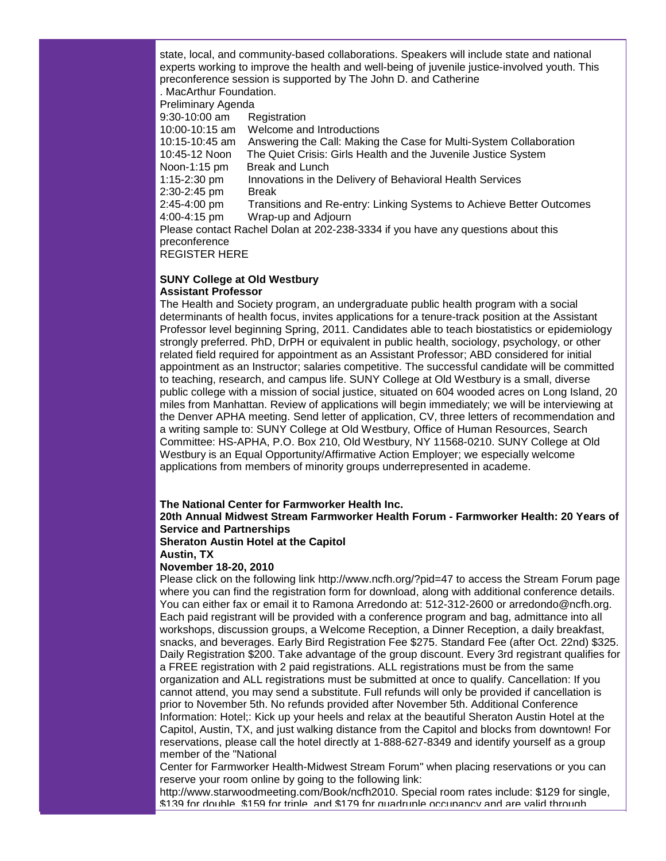state, local, and community-based collaborations. Speakers will include state and national experts working to improve the health and well-being of juvenile justice-involved youth. This preconference session is supported by The John D. and Catherine . MacArthur Foundation. Preliminary Agenda 9:30-10:00 am Registration 10:00-10:15 am Welcome and Introductions 10:15-10:45 am Answering the Call: Making the Case for Multi-System Collaboration 10:45-12 Noon The Quiet Crisis: Girls Health and the Juvenile Justice System Noon-1:15 pm Break and Lunch 1:15-2:30 pm Innovations in the Delivery of Behavioral Health Services 2:30-2:45 pm Break 2:45-4:00 pm Transitions and Re-entry: Linking Systems to Achieve Better Outcomes 4:00-4:15 pm Wrap-up and Adjourn Please contact Rachel Dolan at 202-238-3334 if you have any questions about this preconference REGISTER HERE

#### **SUNY College at Old Westbury Assistant Professor**

The Health and Society program, an undergraduate public health program with a social determinants of health focus, invites applications for a tenure-track position at the Assistant Professor level beginning Spring, 2011. Candidates able to teach biostatistics or epidemiology strongly preferred. PhD, DrPH or equivalent in public health, sociology, psychology, or other related field required for appointment as an Assistant Professor; ABD considered for initial appointment as an Instructor; salaries competitive. The successful candidate will be committed to teaching, research, and campus life. SUNY College at Old Westbury is a small, diverse public college with a mission of social justice, situated on 604 wooded acres on Long Island, 20 miles from Manhattan. Review of applications will begin immediately; we will be interviewing at the Denver APHA meeting. Send letter of application, CV, three letters of recommendation and a writing sample to: SUNY College at Old Westbury, Office of Human Resources, Search Committee: HS-APHA, P.O. Box 210, Old Westbury, NY 11568-0210. SUNY College at Old Westbury is an Equal Opportunity/Affirmative Action Employer; we especially welcome applications from members of minority groups underrepresented in academe.

## **The National Center for Farmworker Health Inc.**

**20th Annual Midwest Stream Farmworker Health Forum - Farmworker Health: 20 Years of Service and Partnerships**

**Sheraton Austin Hotel at the Capitol**

## **Austin, TX**

## **November 18-20, 2010**

Please click on the following link http://www.ncfh.org/?pid=47 to access the Stream Forum page where you can find the registration form for download, along with additional conference details. You can either fax or email it to Ramona Arredondo at: 512-312-2600 or arredondo@ncfh.org. Each paid registrant will be provided with a conference program and bag, admittance into all workshops, discussion groups, a Welcome Reception, a Dinner Reception, a daily breakfast, snacks, and beverages. Early Bird Registration Fee \$275. Standard Fee (after Oct. 22nd) \$325. Daily Registration \$200. Take advantage of the group discount. Every 3rd registrant qualifies for a FREE registration with 2 paid registrations. ALL registrations must be from the same organization and ALL registrations must be submitted at once to qualify. Cancellation: If you cannot attend, you may send a substitute. Full refunds will only be provided if cancellation is prior to November 5th. No refunds provided after November 5th. Additional Conference Information: Hotel;: Kick up your heels and relax at the beautiful Sheraton Austin Hotel at the Capitol, Austin, TX, and just walking distance from the Capitol and blocks from downtown! For reservations, please call the hotel directly at 1-888-627-8349 and identify yourself as a group member of the "National

Center for Farmworker Health-Midwest Stream Forum" when placing reservations or you can reserve your room online by going to the following link:

http://www.starwoodmeeting.com/Book/ncfh2010. Special room rates include: \$129 for single, \$139 for double, \$159 for triple, and \$179 for quadruple occupancy and are valid through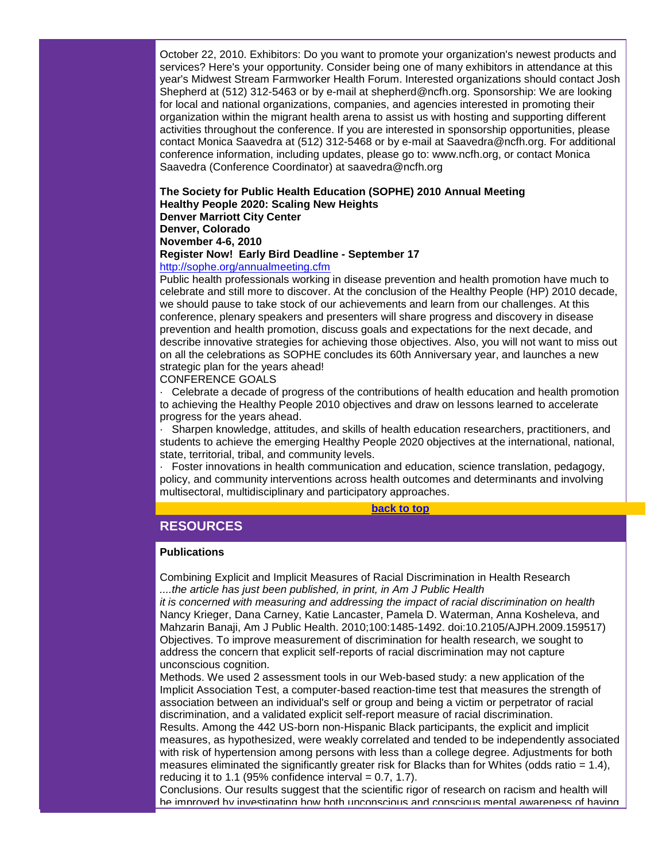October 22, 2010. Exhibitors: Do you want to promote your organization's newest products and services? Here's your opportunity. Consider being one of many exhibitors in attendance at this year's Midwest Stream Farmworker Health Forum. Interested organizations should contact Josh Shepherd at (512) 312-5463 or by e-mail at shepherd@ncfh.org. Sponsorship: We are looking for local and national organizations, companies, and agencies interested in promoting their organization within the migrant health arena to assist us with hosting and supporting different activities throughout the conference. If you are interested in sponsorship opportunities, please contact Monica Saavedra at (512) 312-5468 or by e-mail at Saavedra@ncfh.org. For additional conference information, including updates, please go to: www.ncfh.org, or contact Monica Saavedra (Conference Coordinator) at saavedra@ncfh.org

#### **The Society for Public Health Education (SOPHE) 2010 Annual Meeting Healthy People 2020: Scaling New Heights Denver Marriott City Center**

#### **Denver, Colorado**

**November 4-6, 2010**

## **Register Now! Early Bird Deadline - September 17**

#### [http://sophe.org/annualmeeting.cfm](http://r20.rs6.net/tn.jsp?llr=5gytkqcab&et=1103683950222&s=1&e=001-bnjQJfF5_awV7Ne8fyOTOSMJpaNEdRsGto52X5qad2PWHc78PZP-m1K-blr7WKN9BzmUxDNzOJ3Lkeqg0gZdNbcHtTVZ-27zz5xzmQilmJoCJTPlPH6mzfK6VgpzV5p)

Public health professionals working in disease prevention and health promotion have much to celebrate and still more to discover. At the conclusion of the Healthy People (HP) 2010 decade, we should pause to take stock of our achievements and learn from our challenges. At this conference, plenary speakers and presenters will share progress and discovery in disease prevention and health promotion, discuss goals and expectations for the next decade, and describe innovative strategies for achieving those objectives. Also, you will not want to miss out on all the celebrations as SOPHE concludes its 60th Anniversary year, and launches a new strategic plan for the years ahead!

# CONFERENCE GOALS

· Celebrate a decade of progress of the contributions of health education and health promotion to achieving the Healthy People 2010 objectives and draw on lessons learned to accelerate progress for the years ahead.

· Sharpen knowledge, attitudes, and skills of health education researchers, practitioners, and students to achieve the emerging Healthy People 2020 objectives at the international, national, state, territorial, tribal, and community levels.

· Foster innovations in health communication and education, science translation, pedagogy, policy, and community interventions across health outcomes and determinants and involving multisectoral, multidisciplinary and participatory approaches.

#### **[back to top](#page-0-2)**

# <span id="page-17-0"></span>**RESOURCES**

#### **Publications**

Combining Explicit and Implicit Measures of Racial Discrimination in Health Research *....the article has just been published, in print, in Am J Public Health* 

*it is concerned with measuring and addressing the impact of racial discrimination on health* Nancy Krieger, Dana Carney, Katie Lancaster, Pamela D. Waterman, Anna Kosheleva, and Mahzarin Banaji, Am J Public Health. 2010;100:1485-1492. doi:10.2105/AJPH.2009.159517) Objectives. To improve measurement of discrimination for health research, we sought to address the concern that explicit self-reports of racial discrimination may not capture unconscious cognition.

Methods. We used 2 assessment tools in our Web-based study: a new application of the Implicit Association Test, a computer-based reaction-time test that measures the strength of association between an individual's self or group and being a victim or perpetrator of racial discrimination, and a validated explicit self-report measure of racial discrimination.

Results. Among the 442 US-born non-Hispanic Black participants, the explicit and implicit measures, as hypothesized, were weakly correlated and tended to be independently associated with risk of hypertension among persons with less than a college degree. Adjustments for both measures eliminated the significantly greater risk for Blacks than for Whites (odds ratio  $= 1.4$ ), reducing it to 1.1 (95% confidence interval  $= 0.7, 1.7$ ).

Conclusions. Our results suggest that the scientific rigor of research on racism and health will be improved by investigating how both unconscious and conscious mental awareness of having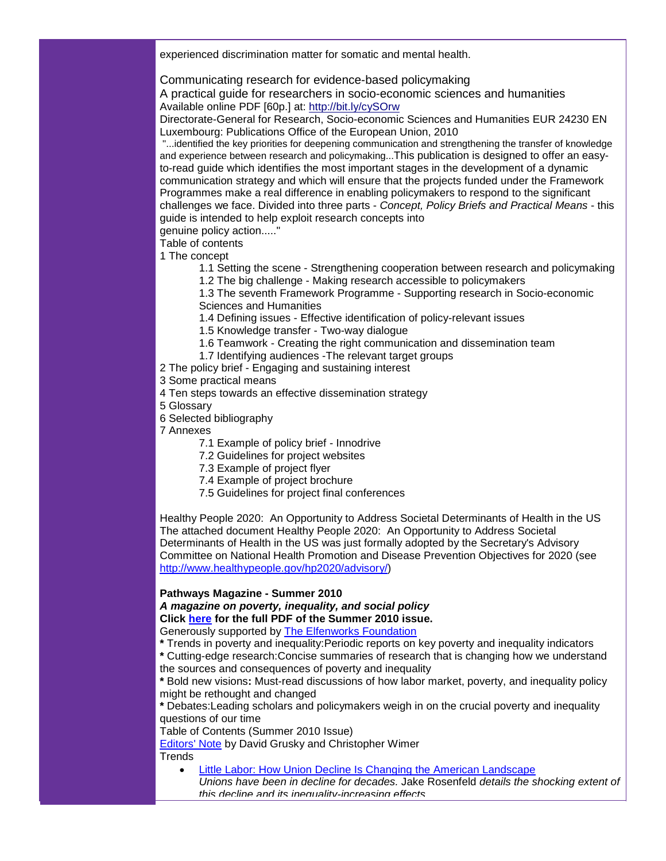experienced discrimination matter for somatic and mental health.

Communicating research for evidence-based policymaking

A practical guide for researchers in socio-economic sciences and humanities Available online PDF [60p.] at: [http://bit.ly/cySOrw](http://r20.rs6.net/tn.jsp?llr=5gytkqcab&et=1103683950222&s=1&e=001-bnjQJfF5_bL9OyBb420vk8kaxISkkR_TtqwxZ6jrb0gIsUZwzRhOwGpf3Bu1p8Pgip6V7rmyTqtlEiIq80VMaCkcloLH4LHfmecPXilQJ4=)

Directorate-General for Research, Socio-economic Sciences and Humanities EUR 24230 EN Luxembourg: Publications Office of the European Union, 2010

"...identified the key priorities for deepening communication and strengthening the transfer of knowledge and experience between research and policymaking...This publication is designed to offer an easyto-read guide which identifies the most important stages in the development of a dynamic communication strategy and which will ensure that the projects funded under the Framework Programmes make a real difference in enabling policymakers to respond to the significant challenges we face. Divided into three parts - *Concept, Policy Briefs and Practical Means* - this guide is intended to help exploit research concepts into

genuine policy action....."

Table of contents

1 The concept

1.1 Setting the scene - Strengthening cooperation between research and policymaking

1.2 The big challenge - Making research accessible to policymakers

1.3 The seventh Framework Programme - Supporting research in Socio-economic Sciences and Humanities

1.4 Defining issues - Effective identification of policy-relevant issues

1.5 Knowledge transfer - Two-way dialogue

- 1.6 Teamwork Creating the right communication and dissemination team
- 1.7 Identifying audiences The relevant target groups
- 2 The policy brief Engaging and sustaining interest
- 3 Some practical means
- 4 Ten steps towards an effective dissemination strategy
- 5 Glossary
- 6 Selected bibliography
- 7 Annexes
	- 7.1 Example of policy brief Innodrive
	- 7.2 Guidelines for project websites
	- 7.3 Example of project flyer
	- 7.4 Example of project brochure
	- 7.5 Guidelines for project final conferences

Healthy People 2020: An Opportunity to Address Societal Determinants of Health in the US The attached document Healthy People 2020: An Opportunity to Address Societal Determinants of Health in the US was just formally adopted by the Secretary's Advisory Committee on National Health Promotion and Disease Prevention Objectives for 2020 (see [http://www.healthypeople.gov/hp2020/advisory/\)](http://r20.rs6.net/tn.jsp?llr=5gytkqcab&et=1103683950222&s=1&e=001-bnjQJfF5_ZqMqebs6qlOU5nbLyi9YwcOfst7IMHA0czyOcBQbmlucqgHniZSrxVhxaH3ryRo6ssogY9PSnHJRW-JHZK8KJ7QgBHqejGQSLjYgVl7wrhi6BG33FFxWsXT5wib0WjZx-Lg7k8UEGbBA==)

#### **Pathways Magazine - Summer 2010** *A magazine on poverty, inequality, and social policy*

**Click [here](http://r20.rs6.net/tn.jsp?llr=5gytkqcab&et=1103683950222&s=1&e=001-bnjQJfF5_Y1HckyjQ7olhk65YBt-CkxD8671U5c8QDRNkoWZh8aDG2Xo9QDEhLxv-qzi9gvebAM3rRz7xESKe4hDoZQHh5Yq6GQYWkZpGsJpNuirwseXLI0GR9lOyCGoING4uc344_8nNP2kudK-NfZjuLGzkWFDIPSYFqAf8UHdsDfDzJR3_LKKuPs9Fpiyx0ghwwzp7k=) for the full PDF of the Summer 2010 issue.**

Generously supported by [The Elfenworks Foundation](http://r20.rs6.net/tn.jsp?llr=5gytkqcab&et=1103683950222&s=1&e=001-bnjQJfF5_ZKA_4epWLPs5uk-nk5Vv9nVl44NrH45gEFqFsxymrfvkNvZBvZpCEH_53X-sOielGZ5NWFy05pAXDzLSUiQJT5ECiJwOS8BevKRNhebLtCmw==)

**\*** Trends in poverty and inequality:Periodic reports on key poverty and inequality indicators

**\*** Cutting-edge research:Concise summaries of research that is changing how we understand the sources and consequences of poverty and inequality

**\*** Bold new visions**:** Must-read discussions of how labor market, poverty, and inequality policy might be rethought and changed

**\*** Debates:Leading scholars and policymakers weigh in on the crucial poverty and inequality questions of our time

Table of Contents (Summer 2010 Issue)

[Editors'](http://r20.rs6.net/tn.jsp?llr=5gytkqcab&et=1103683950222&s=1&e=001-bnjQJfF5_aaoE4DlG6hk6GHjY-j3p8g2TDaTGx0oev8NGwWcVlLgbpkl2Jcy4-_Tmq8csniB1mPyp0_4_bagq1S9ZGpYfd4V24KK0Zxu_bpypr3Qj71PoDAlVj-Cisv0OIg_7hQi3xsi1uH4libPQ4bA0Dm2fArtuRxiSjaKZwlnVpO7hiXn8QeZlav4UO0JrFQXfsyAYA=) Note by David Grusky and Christopher Wimer **Trends** 

- [Little Labor: How Union Decline Is Changing the American Landscape](http://r20.rs6.net/tn.jsp?llr=5gytkqcab&et=1103683950222&s=1&e=001-bnjQJfF5_bzMrFeD1s1qHeaWq9tetZQ3lFF38zs5opbhKIPcoj9Pr3YfrT0bJ6GOjeyb4tLGbdlluqD_Bn1fQdEFsdVKbuJzK5G0biTBIm5hWT2CTZrFSkyxhqA-B1649EIT_UONtf0YxefP1uRgjHHguJUKf05Eb-opX08tmE-pZ7h0hRpD8ac3FV5cCViUtv2aTmeLzc=)
- *Unions have been in decline for decades.* Jake Rosenfeld *details the shocking extent of this decline and its inequality-increasing effects.*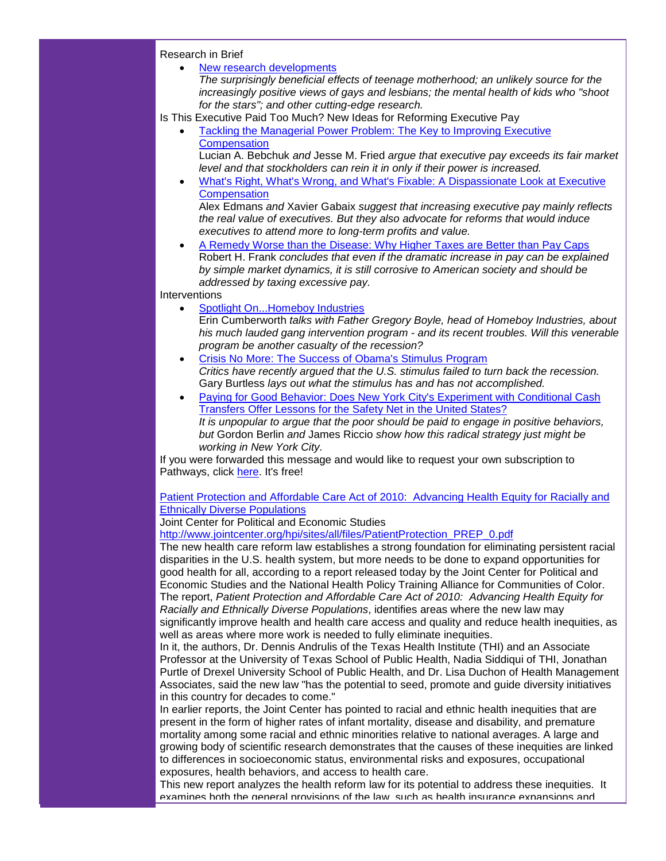Research in Brief

• [New research developments](http://r20.rs6.net/tn.jsp?llr=5gytkqcab&et=1103683950222&s=1&e=001-bnjQJfF5_aNTFYQktskS-M0eEyuxKsmAI2_A-8cSXzPaxUjsuiI4jFpPiJTuwlhpCfxFaDecSm70zVVzzyKQckfV7bPzliPMSpL3W2sJFGECzTE4IPiXRtdUihU8cenm3yRQZkOouvkG0TxBRYXSwUPMAVaZswpf6cx7o00lgcmghpi5kveJaR42hnCt-Y-)

*The surprisingly beneficial effects of teenage motherhood; an unlikely source for the increasingly positive views of gays and lesbians; the mental health of kids who "shoot for the stars"; and other cutting-edge research.*

Is This Executive Paid Too Much? New Ideas for Reforming Executive Pay

• [Tackling the Managerial Power Problem: The Key to Improving Executive](http://r20.rs6.net/tn.jsp?llr=5gytkqcab&et=1103683950222&s=1&e=001-bnjQJfF5_ZZYZZ1o6uzCgk8bMsHPsHrXA4YinEy2fdEjGqozyjKyBXBVGZCEIanuAqfTOmP2dydz1VObnkykJNP2z35oOFa-Ai9WUD7s61bGP0Vqn5ju00lDjVGmYkhT7cNZcbW9h8IxRpdCYqFWWV2EeGKV00DJl7boNt1JkipbPx-3mri0wIN1G8yLBL5HL9wZquEULU=)  **[Compensation](http://r20.rs6.net/tn.jsp?llr=5gytkqcab&et=1103683950222&s=1&e=001-bnjQJfF5_ZZYZZ1o6uzCgk8bMsHPsHrXA4YinEy2fdEjGqozyjKyBXBVGZCEIanuAqfTOmP2dydz1VObnkykJNP2z35oOFa-Ai9WUD7s61bGP0Vqn5ju00lDjVGmYkhT7cNZcbW9h8IxRpdCYqFWWV2EeGKV00DJl7boNt1JkipbPx-3mri0wIN1G8yLBL5HL9wZquEULU=)** 

Lucian A. Bebchuk *and* Jesse M. Fried *argue that executive pay exceeds its fair market level and that stockholders can rein it in only if their power is increased.* 

• What's Right, What's [Wrong, and What's Fixable: A Dispassionate Look at Executive](http://r20.rs6.net/tn.jsp?llr=5gytkqcab&et=1103683950222&s=1&e=001-bnjQJfF5_bcUA37uGL71RNBnF6rE6aYfZO7S6B5ZhKQC_4EN7pmlXU-v5kgQQm0fITo5HIpITZRJQCmuDlmrZjitaGCnA_QPDqgZhjo_qEkqft_FCgMCtLInpaqDv183jn-n_OkK1KbOm7jcuIhtFbQtDlcy1WNg7efhW8gt74Nti4osDYlAb8js2FO1hEyoUS5DnH5JyM=)  **[Compensation](http://r20.rs6.net/tn.jsp?llr=5gytkqcab&et=1103683950222&s=1&e=001-bnjQJfF5_bcUA37uGL71RNBnF6rE6aYfZO7S6B5ZhKQC_4EN7pmlXU-v5kgQQm0fITo5HIpITZRJQCmuDlmrZjitaGCnA_QPDqgZhjo_qEkqft_FCgMCtLInpaqDv183jn-n_OkK1KbOm7jcuIhtFbQtDlcy1WNg7efhW8gt74Nti4osDYlAb8js2FO1hEyoUS5DnH5JyM=)** 

Alex Edmans *and* Xavier Gabaix *suggest that increasing executive pay mainly reflects the real value of executives. But they also advocate for reforms that would induce executives to attend more to long-term profits and value.* 

• [A Remedy Worse than the Disease: Why Higher Taxes are Better than Pay Caps](http://r20.rs6.net/tn.jsp?llr=5gytkqcab&et=1103683950222&s=1&e=001-bnjQJfF5_buxCXFCGr8xlrYEoOJj4xEovATwAPoymsHqoFWDiit1wjNevCo3r_hAJsGvhV2GknWO4pW6EPV5cuB7i8VGBwAZcsOBRR2ETs6nEdUrm7fyb5ahp_hRazlqE9U2pRgNkPuAStFHpgdrh34By-7eoJAkq4YmXJmyxB_cuA5sEqE74bOfX2ryzjFXpvykm2xKF0=) Robert H. Frank *concludes that even if the dramatic increase in pay can be explained by simple market dynamics, it is still corrosive to American society and should be addressed by taxing excessive pay.* 

Interventions

- [Spotlight On...Homeboy Industries](http://r20.rs6.net/tn.jsp?llr=5gytkqcab&et=1103683950222&s=1&e=001-bnjQJfF5_bbtKgHnxb7SSxe56YgjjnYO9F_RwRAvyAI_RicRScBoK_cikToWpUL2TBbQ58tCDHa_gDk2xMa9XhdLsKadXXc4EHd10THJ2HOd9cUk8qascfXwCpfAuAYzgHvdpS-TI9f84QnbwvVRqnM7afnX7yljvPYmLUAgO-PHVBl9m_JwVzv_iLd-6TlJnxAha5J9yA=)
	- Erin Cumberworth *talks with Father Gregory Boyle, head of Homeboy Industries, about his much lauded gang intervention program - and its recent troubles. Will this venerable program be another casualty of the recession?*
- [Crisis No More: The Success of Obama's Stimulus](http://r20.rs6.net/tn.jsp?llr=5gytkqcab&et=1103683950222&s=1&e=001-bnjQJfF5_ZbjXx-yvmHVQGnqqQF8vq8qrz5ABqvsDHdGWlYjr9QuZnXpxvEDtKEqf_3e5-dpoG0SzwTzwL_ir-2fULvFQQA5jB_vgdb_eizK0J3YmvaFEY9JANBXovmMevw8sawojsHm-jxnPreW72cbtwF7IaOqd8u4nA2XLirW3gOGj-rB_R1mYU0Q4I8yAp5aDD3a0c=) Program *Critics have recently argued that the U.S. stimulus failed to turn back the recession.*  Gary Burtless *lays out what the stimulus has and has not accomplished.*
- [Paying for Good Behavior: Does New York City's Experiment with Conditional Cash](http://r20.rs6.net/tn.jsp?llr=5gytkqcab&et=1103683950222&s=1&e=001-bnjQJfF5_bXayvW4VZPnwR7um4D0S8CZSss-LuyiLu0OWAClY8AeeZE4NnQuvsfNtAxCKO0eJNGbY-hW2-3gFDhICUUpwyclbpW0qF5cdxWiefBDH1kDiBBADwX_BkRlWB28b6_O2zmTNq7YhBmIyYRni7RRqRiGOfDul2mab-YM_UyAAlhnnEP7TArt0Ppj1w-PGGmT-A=)  [Transfers Offer Lessons for the Safety Net in the United States?](http://r20.rs6.net/tn.jsp?llr=5gytkqcab&et=1103683950222&s=1&e=001-bnjQJfF5_bXayvW4VZPnwR7um4D0S8CZSss-LuyiLu0OWAClY8AeeZE4NnQuvsfNtAxCKO0eJNGbY-hW2-3gFDhICUUpwyclbpW0qF5cdxWiefBDH1kDiBBADwX_BkRlWB28b6_O2zmTNq7YhBmIyYRni7RRqRiGOfDul2mab-YM_UyAAlhnnEP7TArt0Ppj1w-PGGmT-A=) *It is unpopular to argue that the poor should be paid to engage in positive behaviors, but* Gordon Berlin *and* James Riccio *show how this radical strategy just might be working in New York City.*

If you were forwarded this message and would like to request your own subscription to Pathways, click [here.](http://r20.rs6.net/tn.jsp?llr=5gytkqcab&et=1103683950222&s=1&e=001-bnjQJfF5_b_WblQcyVLcpUlRurW3hsxYTqsqB4D1EbH7F0MNxM9X5DDsw36XAD2tbiRtraoV7XjVzm6BfYJG0fSog9GMI4-E1LgpTzrk0qLDKjY2Vf1ZsRE0SrnN4RfJyxd46nDuVSd84TePeOZscPef7PN421lnzCLBIBYLljY8a3ZhvuoPw==) It's free!

[Patient Protection and Affordable Care Act of 2010:](http://r20.rs6.net/tn.jsp?llr=5gytkqcab&et=1103683950222&s=1&e=001-bnjQJfF5_auZTGPLoa7QcHIJMWmjDol6mUyCltoq_YFCI_Eu1H-BYoa5UQLeKnwZHAmmf0AKYrmLafrc2GWwasL057WdhTJaCpBKMpw-LLeS0LqPDi3qEigZpcysLBrCKARDrL6ammyHNOQAOp6CRpkw4qmmEVzP2S6KuxEzw7JtGXACVH9p4JnlAUtjpNU) Advancing Health Equity for Racially and [Ethnically Diverse Populations](http://r20.rs6.net/tn.jsp?llr=5gytkqcab&et=1103683950222&s=1&e=001-bnjQJfF5_auZTGPLoa7QcHIJMWmjDol6mUyCltoq_YFCI_Eu1H-BYoa5UQLeKnwZHAmmf0AKYrmLafrc2GWwasL057WdhTJaCpBKMpw-LLeS0LqPDi3qEigZpcysLBrCKARDrL6ammyHNOQAOp6CRpkw4qmmEVzP2S6KuxEzw7JtGXACVH9p4JnlAUtjpNU)

Joint Center for Political and Economic Studies

[http://www.jointcenter.org/hpi/sites/all/files/PatientProtection\\_PREP\\_0.pdf](http://r20.rs6.net/tn.jsp?llr=5gytkqcab&et=1103683950222&s=1&e=001-bnjQJfF5_auZTGPLoa7QcHIJMWmjDol6mUyCltoq_YFCI_Eu1H-BYoa5UQLeKnwZHAmmf0AKYrmLafrc2GWwasL057WdhTJaCpBKMpw-LLeS0LqPDi3qEigZpcysLBrCKARDrL6ammyHNOQAOp6CRpkw4qmmEVzP2S6KuxEzw7JtGXACVH9p4JnlAUtjpNU)

The new health care reform law establishes a strong foundation for eliminating persistent racial disparities in the U.S. health system, but more needs to be done to expand opportunities for good health for all, according to a report released today by the Joint Center for Political and Economic Studies and the National Health Policy Training Alliance for Communities of Color. The report, *Patient Protection and Affordable Care Act of 2010: Advancing Health Equity for Racially and Ethnically Diverse Populations*, identifies areas where the new law may significantly improve health and health care access and quality and reduce health inequities, as well as areas where more work is needed to fully eliminate inequities.

In it, the authors, Dr. Dennis Andrulis of the Texas Health Institute (THI) and an Associate Professor at the University of Texas School of Public Health, Nadia Siddiqui of THI, Jonathan Purtle of Drexel University School of Public Health, and Dr. Lisa Duchon of Health Management Associates, said the new law "has the potential to seed, promote and guide diversity initiatives in this country for decades to come."

In earlier reports, the Joint Center has pointed to racial and ethnic health inequities that are present in the form of higher rates of infant mortality, disease and disability, and premature mortality among some racial and ethnic minorities relative to national averages. A large and growing body of scientific research demonstrates that the causes of these inequities are linked to differences in socioeconomic status, environmental risks and exposures, occupational exposures, health behaviors, and access to health care.

This new report analyzes the health reform law for its potential to address these inequities. It examines both the general provisions of the law, such as health insurance expansions and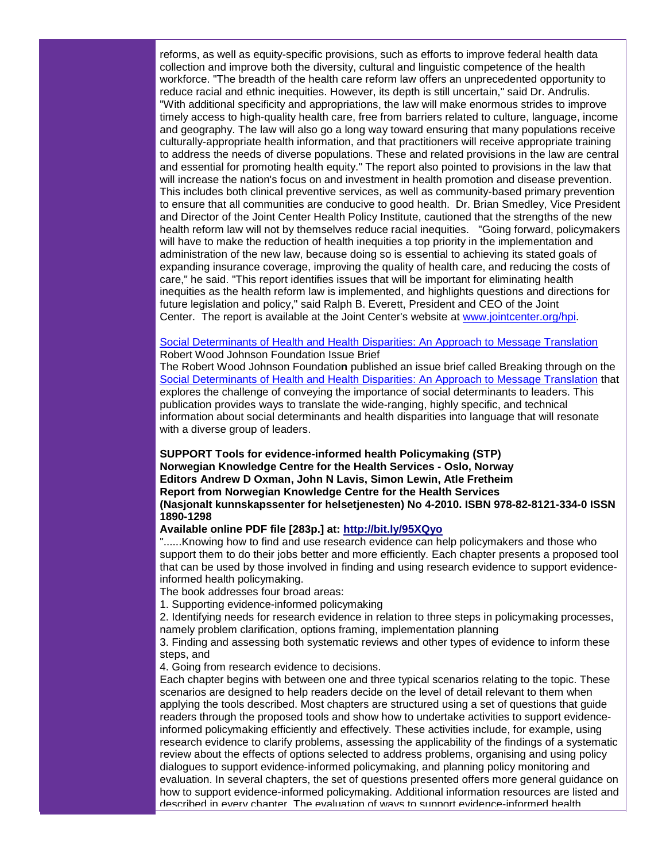reforms, as well as equity-specific provisions, such as efforts to improve federal health data collection and improve both the diversity, cultural and linguistic competence of the health workforce. "The breadth of the health care reform law offers an unprecedented opportunity to reduce racial and ethnic inequities. However, its depth is still uncertain," said Dr. Andrulis. "With additional specificity and appropriations, the law will make enormous strides to improve timely access to high-quality health care, free from barriers related to culture, language, income and geography. The law will also go a long way toward ensuring that many populations receive culturally-appropriate health information, and that practitioners will receive appropriate training to address the needs of diverse populations. These and related provisions in the law are central and essential for promoting health equity." The report also pointed to provisions in the law that will increase the nation's focus on and investment in health promotion and disease prevention. This includes both clinical preventive services, as well as community-based primary prevention to ensure that all communities are conducive to good health. Dr. Brian Smedley, Vice President and Director of the Joint Center Health Policy Institute, cautioned that the strengths of the new health reform law will not by themselves reduce racial inequities. "Going forward, policymakers will have to make the reduction of health inequities a top priority in the implementation and administration of the new law, because doing so is essential to achieving its stated goals of expanding insurance coverage, improving the quality of health care, and reducing the costs of care," he said. "This report identifies issues that will be important for eliminating health inequities as the health reform law is implemented, and highlights questions and directions for future legislation and policy," said Ralph B. Everett, President and CEO of the Joint Center. The report is available at the Joint Center's website at [www.jointcenter.org/hpi.](http://r20.rs6.net/tn.jsp?llr=5gytkqcab&et=1103683950222&s=1&e=001-bnjQJfF5_ZnwEqdiBe8fgQqn6xm-xKpE82f63kkBp-ROU06_GZhGkLPJs7Z5g-pJrX35bz7pTzRMKGdiUoYCvpqF6Ysf87vGNUGHe-bTTEgxPyrNaPy1jP5Yz5j39rVRqHf12QS5FVHeDXPdpZM9-zLcMQjMYcugk9twmkNJH0LUCXCCCNhFMGmrM5Jcfy9)

#### [Social Determinants of Health and Health Disparities: An Approach to Message Translation](http://r20.rs6.net/tn.jsp?llr=5gytkqcab&et=1103683950222&s=1&e=001-bnjQJfF5_a4dJH4KtDJ_bqUd-1qDwwi_TJuuLBPgKJ9UIvh94VG4MMVOLqp6diz9wsLrDIr1XUhfzWrMXnZT_eky9q9beAe6MKgFzR6afedigullkVKMzffO_I0xlgsp7pbl9aF2a2ICauYO9u6bA==) Robert Wood Johnson Foundation Issue Brief

The Robert Wood Johnson Foundatio**n** published an issue brief called Breaking through on the [Social Determinants of Health and Health Disparities: An Approach to Message Translation](http://r20.rs6.net/tn.jsp?llr=5gytkqcab&et=1103683950222&s=1&e=001-bnjQJfF5_a4dJH4KtDJ_bqUd-1qDwwi_TJuuLBPgKJ9UIvh94VG4MMVOLqp6diz9wsLrDIr1XUhfzWrMXnZT_eky9q9beAe6MKgFzR6afedigullkVKMzffO_I0xlgsp7pbl9aF2a2ICauYO9u6bA==) that explores the challenge of conveying the importance of social determinants to leaders. This publication provides ways to translate the wide-ranging, highly specific, and technical information about social determinants and health disparities into language that will resonate with a diverse group of leaders.

**SUPPORT Tools for evidence-informed health Policymaking (STP) Norwegian Knowledge Centre for the Health Services - Oslo, Norway Editors Andrew D Oxman, John N Lavis, Simon Lewin, Atle Fretheim Report from Norwegian Knowledge Centre for the Health Services (Nasjonalt kunnskapssenter for helsetjenesten) No 4-2010. ISBN 978-82-8121-334-0 ISSN 1890-1298**

#### **Available online PDF file [283p.] at: [http://bit.ly/95XQyo](http://r20.rs6.net/tn.jsp?llr=5gytkqcab&et=1103683950222&s=1&e=001-bnjQJfF5_ae8_zEAePa1CKazGQbrW-B5bKFFCbSisPmbp0tQffzuyOVxjD_0lyR5IQWzXN5BpWX4hO4UdtC1vB_MC2gsR3NLCePnvJ_oR8=)**

"......Knowing how to find and use research evidence can help policymakers and those who support them to do their jobs better and more efficiently. Each chapter presents a proposed tool that can be used by those involved in finding and using research evidence to support evidenceinformed health policymaking.

The book addresses four broad areas:

1. Supporting evidence-informed policymaking

2. Identifying needs for research evidence in relation to three steps in policymaking processes, namely problem clarification, options framing, implementation planning

3. Finding and assessing both systematic reviews and other types of evidence to inform these steps, and

4. Going from research evidence to decisions.

Each chapter begins with between one and three typical scenarios relating to the topic. These scenarios are designed to help readers decide on the level of detail relevant to them when applying the tools described. Most chapters are structured using a set of questions that guide readers through the proposed tools and show how to undertake activities to support evidenceinformed policymaking efficiently and effectively. These activities include, for example, using research evidence to clarify problems, assessing the applicability of the findings of a systematic review about the effects of options selected to address problems, organising and using policy dialogues to support evidence-informed policymaking, and planning policy monitoring and evaluation. In several chapters, the set of questions presented offers more general guidance on how to support evidence-informed policymaking. Additional information resources are listed and described in every chapter. The evaluation of ways to support evidence-informed health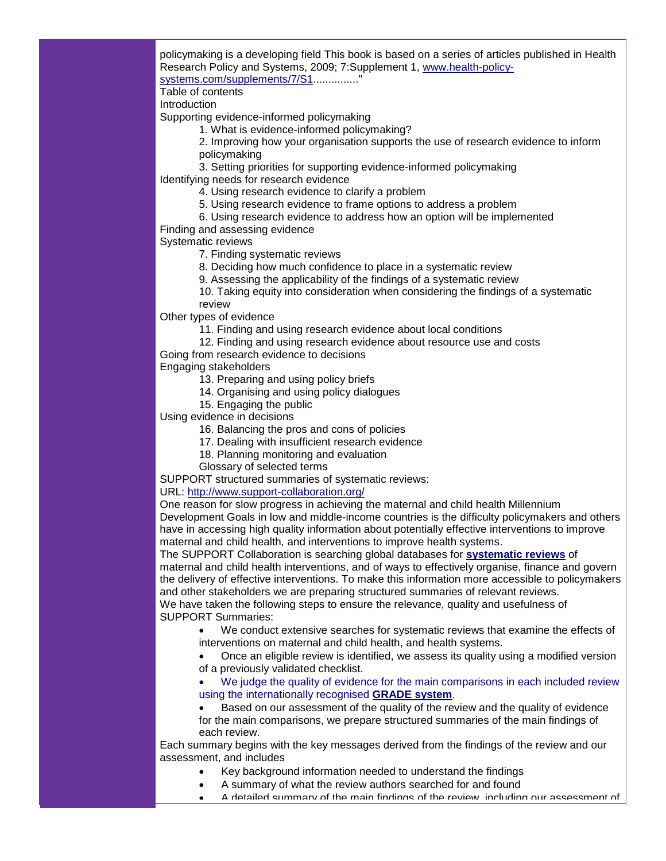policymaking is a developing field This book is based on a series of articles published in Health Research Policy and Systems, 2009; 7:Supplement 1, [www.health-policy](http://r20.rs6.net/tn.jsp?llr=5gytkqcab&et=1103683950222&s=1&e=001-bnjQJfF5_axy4vkpAFjFaZ3kejLDinIYNPX4Zd2ixbCQNlNrq_SU9rmRfTx-l6u9YV26s2TQdjx964FX8vxU9aD3Nj2jbdp22GFlQnJg7cUjF435uWIMseKz3rkjgLk3YZxwBSGUxDIEoc1MKP6qAfgXSKbBeGb)[systems.com/supplements/7/S1.](http://r20.rs6.net/tn.jsp?llr=5gytkqcab&et=1103683950222&s=1&e=001-bnjQJfF5_axy4vkpAFjFaZ3kejLDinIYNPX4Zd2ixbCQNlNrq_SU9rmRfTx-l6u9YV26s2TQdjx964FX8vxU9aD3Nj2jbdp22GFlQnJg7cUjF435uWIMseKz3rkjgLk3YZxwBSGUxDIEoc1MKP6qAfgXSKbBeGb).............."

Table of contents

Introduction

Supporting evidence-informed policymaking

1. What is evidence-informed policymaking?

2. Improving how your organisation supports the use of research evidence to inform policymaking

3. Setting priorities for supporting evidence-informed policymaking

Identifying needs for research evidence

- 4. Using research evidence to clarify a problem
- 5. Using research evidence to frame options to address a problem
- 6. Using research evidence to address how an option will be implemented

# Finding and assessing evidence

Systematic reviews

- 7. Finding systematic reviews
- 8. Deciding how much confidence to place in a systematic review
- 9. Assessing the applicability of the findings of a systematic review

10. Taking equity into consideration when considering the findings of a systematic

review

Other types of evidence

- 11. Finding and using research evidence about local conditions
- 12. Finding and using research evidence about resource use and costs
- Going from research evidence to decisions

Engaging stakeholders

- 13. Preparing and using policy briefs
- 14. Organising and using policy dialogues
- 15. Engaging the public

Using evidence in decisions

16. Balancing the pros and cons of policies

- 17. Dealing with insufficient research evidence
- 18. Planning monitoring and evaluation
- Glossary of selected terms

SUPPORT structured summaries of systematic reviews:

# URL: [http://www.support-collaboration.org/](http://r20.rs6.net/tn.jsp?llr=5gytkqcab&et=1103683950222&s=1&e=001-bnjQJfF5_bam245S-VqIHf8X5lV-dAUElSvmXZ3Gd3PzCUef-dDgQ3QcHduq5TadKsz-wlaZ9tXZQxLaWlGsszGADJnBCDzYCSM_r2bv8jOIH-RsySXtv9HFATvwMAB)

One reason for slow progress in achieving the maternal and child health Millennium Development Goals in low and middle-income countries is the difficulty policymakers and others have in accessing high quality information about potentially effective interventions to improve maternal and child health, and interventions to improve health systems.

The SUPPORT Collaboration is searching global databases for **[systematic reviews](http://r20.rs6.net/tn.jsp?llr=5gytkqcab&et=1103683950222&s=1&e=001-bnjQJfF5_bKJv4lnD7gVgENURQ4sS_7oEe0JwNXN8HAoY5EzM8Nlr0Ho3Mvy55UNm4u_YEmsL-OpJCcEQoTzHNsdFeYnm0FFXmD7C4AFUCQ8bI8G-p49Sj_kxX1JRlaO-8BmK2Hx81QeuFfUGX4SLMKEXHDan6zk8dQIihgimREmXdi7zOehg==)** of maternal and child health interventions, and of ways to effectively organise, finance and govern the delivery of effective interventions. To make this information more accessible to policymakers and other stakeholders we are preparing structured summaries of relevant reviews. We have taken the following steps to ensure the relevance, quality and usefulness of SUPPORT Summaries:

• We conduct extensive searches for systematic reviews that examine the effects of interventions on maternal and child health, and health systems.

• Once an eligible review is identified, we assess its quality using a modified version of a previously validated checklist.

• We judge the quality of evidence for the main comparisons in each included review using the internationally recognised **[GRADE system](http://r20.rs6.net/tn.jsp?llr=5gytkqcab&et=1103683950222&s=1&e=001-bnjQJfF5_Zn03BiejPtTO1xdzfOm-rxpysgPW9lPauZw_p8OcZ4BlILsx_O4ztISiZvG2ajACjNWQj0dSkesyWtIg0PVrAEVjCgy6dJ5BcCSkebOorKoTu2DID2z4fu84K6OT9gMy43-ZJyTvRH5u3esXXdwAjo)**.

• Based on our assessment of the quality of the review and the quality of evidence for the main comparisons, we prepare structured summaries of the main findings of each review.

Each summary begins with the key messages derived from the findings of the review and our assessment, and includes

- Key background information needed to understand the findings
- A summary of what the review authors searched for and found
- A detailed summary of the main findings of the review, including our assessment of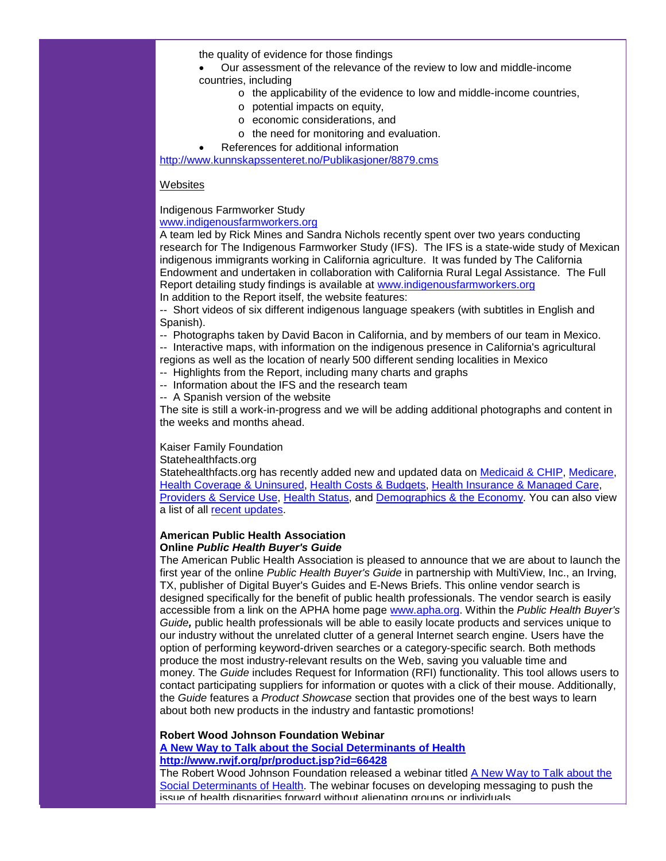the quality of evidence for those findings

• Our assessment of the relevance of the review to low and middle-income countries, including

- o the applicability of the evidence to low and middle-income countries,
- o potential impacts on equity,
- o economic considerations, and
- o the need for monitoring and evaluation.
- References for additional information

[http://www.kunnskapssenteret.no/Publikasjoner/8879.cms](http://r20.rs6.net/tn.jsp?llr=5gytkqcab&et=1103683950222&s=1&e=001-bnjQJfF5_a9FVbLbaJh3AJgfGFp6uvjX2sp8KenCQuqcUaZDR0HeSOp8JCRRiRxyvqG2OB8gp5_pV8ZdMj3pgFnMmHa0qWSQ5eZpIqpVhLEUUz11DmNH8RJ5ErfAFT79wS0aqBaxrtDu1D7oaZ8wg==)

### **Websites**

# Indigenous Farmworker Study

# [www.indigenousfarmworkers.org](http://r20.rs6.net/tn.jsp?llr=5gytkqcab&et=1103683950222&s=1&e=001-bnjQJfF5_Zt_KBcMgLXdhu7isvTPpifLq4ERtMNr9S9vYXMnqjmTLG8DdMK3vTp-cw1g6G65XLUjhkIpD4PKWZV0pnjG8osMDupR4h4dsLVH2kHYnJw04btNlCg_VcE)

A team led by Rick Mines and Sandra Nichols recently spent over two years conducting research for The Indigenous Farmworker Study (IFS). The IFS is a state-wide study of Mexican indigenous immigrants working in California agriculture. It was funded by The California Endowment and undertaken in collaboration with California Rural Legal Assistance. The Full Report detailing study findings is available at [www.indigenousfarmworkers.org](http://r20.rs6.net/tn.jsp?llr=5gytkqcab&et=1103683950222&s=1&e=001-bnjQJfF5_Zt_KBcMgLXdhu7isvTPpifLq4ERtMNr9S9vYXMnqjmTLG8DdMK3vTp-cw1g6G65XLUjhkIpD4PKWZV0pnjG8osMDupR4h4dsLVH2kHYnJw04btNlCg_VcE) In addition to the Report itself, the website features:

-- Short videos of six different indigenous language speakers (with subtitles in English and Spanish).

-- Photographs taken by David Bacon in California, and by members of our team in Mexico.

-- Interactive maps, with information on the indigenous presence in California's agricultural regions as well as the location of nearly 500 different sending localities in Mexico

- -- Highlights from the Report, including many charts and graphs
- -- Information about the IFS and the research team
- -- A Spanish version of the website

The site is still a work-in-progress and we will be adding additional photographs and content in the weeks and months ahead.

## Kaiser Family Foundation

Statehealthfacts.org

Statehealthfacts.org has recently added new and updated data on [Medicaid & CHIP,](http://r20.rs6.net/tn.jsp?llr=5gytkqcab&et=1103683950222&s=1&e=001-bnjQJfF5_bSB3I9hEcBhhidgwejvv9uO1YyK2zrNq1WjFWKvLHRSQuzcMRSdjZrdZpfRWrdkf4mrhA2WITJhxu2DyX7V6wV3uOWy6XjobieppJleMXhDBaFWA2zvj8stHqHjwx575t4j53GSHNVZg==) [Medicare,](http://r20.rs6.net/tn.jsp?llr=5gytkqcab&et=1103683950222&s=1&e=001-bnjQJfF5_Zd66Z3igbJ6qIDSLGncpcEb2giSiw47WjZJQvTdhF8-QLIhk6JZ0IgskxK1mnn33vGEsQyGVgXS-P67VM1YfgPglusczgNdA0VhpwLj3gwLp8jaFAc-oZoSagkyDpaz24na-ZAFIEQsA==) [Health Coverage & Uninsured,](http://r20.rs6.net/tn.jsp?llr=5gytkqcab&et=1103683950222&s=1&e=001-bnjQJfF5_adyeLPFrEm_Rj5Y_oYwiyHQoefaFPuuxYnWisztdJKBMVkC677MOLgSH1XTbNk_c1IOppA4rdrPelBmauqFg73xyugA2Bxe79M-klAOyZwypnb0Ry4vclbsbi19_ZTUrWjNTEmw2992Q==) [Health Costs & Budgets,](http://r20.rs6.net/tn.jsp?llr=5gytkqcab&et=1103683950222&s=1&e=001-bnjQJfF5_b_9wtbPRY9enFf6-0miYaVxD5GvGJ2FgcpQ6sgVk7wssSFng8-MUOiRaKdhbO9s3Vt198HiQLUzRlaz6AkzGYYc13--EQXoUeqfFvZsA_p4EvUr_gUco80KnNslaLxSrPD1iy2SNfyKw==) [Health Insurance & Managed Care,](http://r20.rs6.net/tn.jsp?llr=5gytkqcab&et=1103683950222&s=1&e=001-bnjQJfF5_a8f9ey4SSo9pXYG4arb3_t9kU7G742tAm1_Hw5UzDZxSMJ8uN6Ho_KYCBoKBDwde5G1vnH7pwc-T8HhJN_RZrRkYoqvbWiG0ee7TBpzsdghDIz5vmOc_55yhe9Xwb-UZzYrLEggZ87gQ==) [Providers & Service Use,](http://r20.rs6.net/tn.jsp?llr=5gytkqcab&et=1103683950222&s=1&e=001-bnjQJfF5_Zs6wjLD-azTIZCoMfaiSS9TapRxU28VzEuweqbm-nMqBuefl0t4A3dfjj6jrZSLg2jezTagfjAKHyUKjY0kyrNw1OPgpHw5lZjdRJlAP4OITkuMk7-LJ7wzy1uQj7_0lTmWkux-p-dJQ==) [Health Status,](http://r20.rs6.net/tn.jsp?llr=5gytkqcab&et=1103683950222&s=1&e=001-bnjQJfF5_ZIoE77koeQeWavy2sLsgZ49MjpImj55E-WuW4uUR0qn3dsiaAqK52kP7ZifFAtOpaqkwuKYKl1tsPkeDTZ9pW29G8PB24qENS_GVPNL5PNnnaJeMKHmePlq0lscdszxsv3AdymyNzBrw==) and [Demographics & the Economy.](http://r20.rs6.net/tn.jsp?llr=5gytkqcab&et=1103683950222&s=1&e=001-bnjQJfF5_bHwVjwsfRbjxgPczvsgiSdpcZf1dVoB08y7M8yioXYV-vJgEnZqxHWLGwP1ChbcgAUPU8ninqTHsFX9D2hxZw5p1qyq30vcetvXzL2fYT9S2A83aOHdRgRYCEwi3oYYoenE9W5Z8CrHA==) You can also view a list of all [recent updates.](http://r20.rs6.net/tn.jsp?llr=5gytkqcab&et=1103683950222&s=1&e=001-bnjQJfF5_aBXA2lZ5VHC5T3q6vt_CeNZkpONlktc89Lp6FsEpuS3PLr2_xisQAmUrBk3y40x0YbocKvphg88jvPILcda7XlDdOWiUnulgQBw3C1Q0wWolfyjy2Mu6gXQ0MqiU8PI9FA2j2Ggt4FqA==)

#### **American Public Health Association Online** *Public Health Buyer's Guide*

The American Public Health Association is pleased to announce that we are about to launch the first year of the online *Public Health Buyer's Guide* in partnership with MultiView, Inc., an Irving, TX, publisher of Digital Buyer's Guides and E-News Briefs. This online vendor search is designed specifically for the benefit of public health professionals. The vendor search is easily accessible from a link on the APHA home page [www.apha.org.](http://r20.rs6.net/tn.jsp?llr=5gytkqcab&et=1103683950222&s=1&e=001-bnjQJfF5_bbK6DuS7nNWCmQ53XyOuJuvwoOaWXpv16vxTSf1PwotMvo5b6on8zGxJUIlXQNM6P7z0-0tPnAHwSq5FF_ZP5e18QI6odr2CVTYlJ9jCCNFIIsf5C2zyvPeM26mUunINP1IrMryb2Xnlo_4q09atLg) Within the *Public Health Buyer's Guide,* public health professionals will be able to easily locate products and services unique to our industry without the unrelated clutter of a general Internet search engine. Users have the option of performing keyword-driven searches or a category-specific search. Both methods produce the most industry-relevant results on the Web, saving you valuable time and money. The *Guide* includes Request for Information (RFI) functionality. This tool allows users to contact participating suppliers for information or quotes with a click of their mouse. Additionally, the *Guide* features a *Product Showcase* section that provides one of the best ways to learn about both new products in the industry and fantastic promotions!

# **Robert Wood Johnson Foundation Webinar**

**[A New Way to Talk about the Social Determinants of Health](http://r20.rs6.net/tn.jsp?llr=5gytkqcab&et=1103683950222&s=1&e=001-bnjQJfF5_b162pqciY9Hh3uXnSxMce4i7B2JZQUhm_6lFRm3rAMEG1LUs2-emMqJjIjy3oIQ7eLupxo1-FblucIBZQISSwEZon6hNY9VddCLWzKY1555uliRBomR3_EXB_rCNR0XjtNWwOiELeaNA==) [http://www.rwjf.org/pr/product.jsp?id=66428](http://r20.rs6.net/tn.jsp?llr=5gytkqcab&et=1103683950222&s=1&e=001-bnjQJfF5_b162pqciY9Hh3uXnSxMce4i7B2JZQUhm_6lFRm3rAMEG1LUs2-emMqJjIjy3oIQ7eLupxo1-FblucIBZQISSwEZon6hNY9VddCLWzKY1555uliRBomR3_EXB_rCNR0XjtNWwOiELeaNA==)**

The Robert Wood Johnson Foundation released a webinar titled [A New Way to Talk about the](http://r20.rs6.net/tn.jsp?llr=5gytkqcab&et=1103683950222&s=1&e=001-bnjQJfF5_b162pqciY9Hh3uXnSxMce4i7B2JZQUhm_6lFRm3rAMEG1LUs2-emMqJjIjy3oIQ7eLupxo1-FblucIBZQISSwEZon6hNY9VddCLWzKY1555uliRBomR3_EXB_rCNR0XjtNWwOiELeaNA==)  [Social Determinants of Health.](http://r20.rs6.net/tn.jsp?llr=5gytkqcab&et=1103683950222&s=1&e=001-bnjQJfF5_b162pqciY9Hh3uXnSxMce4i7B2JZQUhm_6lFRm3rAMEG1LUs2-emMqJjIjy3oIQ7eLupxo1-FblucIBZQISSwEZon6hNY9VddCLWzKY1555uliRBomR3_EXB_rCNR0XjtNWwOiELeaNA==) The webinar focuses on developing messaging to push the issue of health disparities forward without alienating groups or individuals.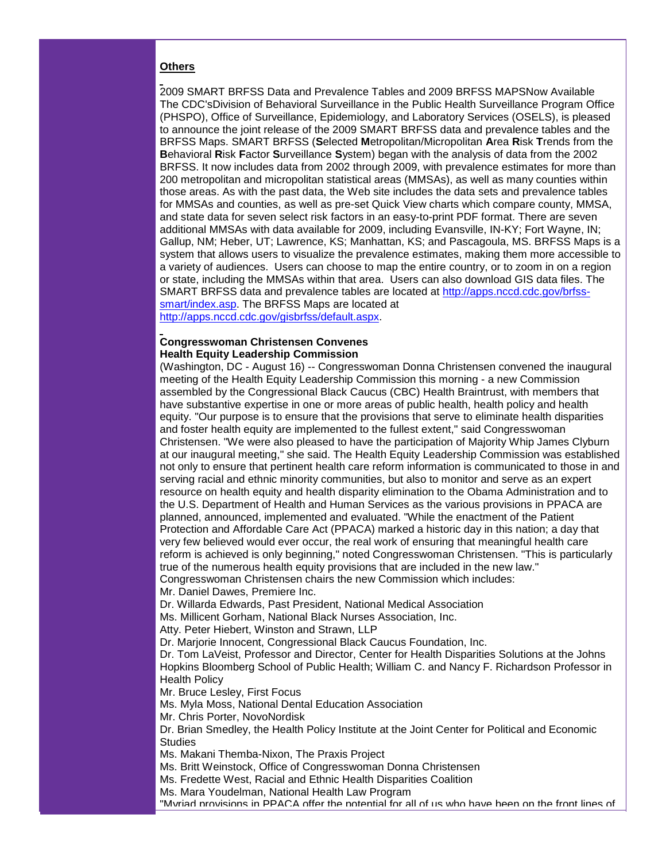#### **Others**

2009 SMART BRFSS Data and Prevalence Tables and 2009 BRFSS MAPSNow Available The CDC'sDivision of Behavioral Surveillance in the Public Health Surveillance Program Office (PHSPO), Office of Surveillance, Epidemiology, and Laboratory Services (OSELS), is pleased to announce the joint release of the 2009 SMART BRFSS data and prevalence tables and the BRFSS Maps. SMART BRFSS (**S**elected **M**etropolitan/Micropolitan **A**rea **R**isk **T**rends from the **B**ehavioral **R**isk **F**actor **S**urveillance **S**ystem) began with the analysis of data from the 2002 BRFSS. It now includes data from 2002 through 2009, with prevalence estimates for more than 200 metropolitan and micropolitan statistical areas (MMSAs), as well as many counties within those areas. As with the past data, the Web site includes the data sets and prevalence tables for MMSAs and counties, as well as pre-set Quick View charts which compare county, MMSA, and state data for seven select risk factors in an easy-to-print PDF format. There are seven additional MMSAs with data available for 2009, including Evansville, IN-KY; Fort Wayne, IN; Gallup, NM; Heber, UT; Lawrence, KS; Manhattan, KS; and Pascagoula, MS. BRFSS Maps is a system that allows users to visualize the prevalence estimates, making them more accessible to a variety of audiences. Users can choose to map the entire country, or to zoom in on a region or state, including the MMSAs within that area. Users can also download GIS data files. The SMART BRFSS data and prevalence tables are located at [http://apps.nccd.cdc.gov/brfss](http://r20.rs6.net/tn.jsp?llr=5gytkqcab&et=1103683950222&s=1&e=001-bnjQJfF5_YwjPyrb3XbNFBlsnhiD5LnIdm5-HBBf2SLCcOzMk8zKuyiLqG7KKvSlTCCZxf7wKfuLGIbCmLrwj4kcQPGns0EbteQeAB2ilinlEx0jnzcY3PKJmNHnqSW0YF9CD3w1dw=)[smart/index.asp.](http://r20.rs6.net/tn.jsp?llr=5gytkqcab&et=1103683950222&s=1&e=001-bnjQJfF5_YwjPyrb3XbNFBlsnhiD5LnIdm5-HBBf2SLCcOzMk8zKuyiLqG7KKvSlTCCZxf7wKfuLGIbCmLrwj4kcQPGns0EbteQeAB2ilinlEx0jnzcY3PKJmNHnqSW0YF9CD3w1dw=) The BRFSS Maps are located at

[http://apps.nccd.cdc.gov/gisbrfss/default.aspx.](http://r20.rs6.net/tn.jsp?llr=5gytkqcab&et=1103683950222&s=1&e=001-bnjQJfF5_Z8RKvHBuksDlAXP9qRf5G-w7Een98B9vouV2TdBdz3KFfGQkXRSVHKOgnzxAEt94HMbLsr-i92I_QbiZyxCXipvL6eDehZLTVHdjrqriMqQowMiagpb9Ccjh0GX_5VZIs=)

#### **Congresswoman Christensen Convenes Health Equity Leadership Commission**

(Washington, DC - August 16) -- Congresswoman Donna Christensen convened the inaugural meeting of the Health Equity Leadership Commission this morning - a new Commission assembled by the Congressional Black Caucus (CBC) Health Braintrust, with members that have substantive expertise in one or more areas of public health, health policy and health equity. "Our purpose is to ensure that the provisions that serve to eliminate health disparities and foster health equity are implemented to the fullest extent," said Congresswoman Christensen. "We were also pleased to have the participation of Majority Whip James Clyburn at our inaugural meeting," she said. The Health Equity Leadership Commission was established not only to ensure that pertinent health care reform information is communicated to those in and serving racial and ethnic minority communities, but also to monitor and serve as an expert resource on health equity and health disparity elimination to the Obama Administration and to the U.S. Department of Health and Human Services as the various provisions in PPACA are planned, announced, implemented and evaluated. "While the enactment of the Patient Protection and Affordable Care Act (PPACA) marked a historic day in this nation; a day that very few believed would ever occur, the real work of ensuring that meaningful health care reform is achieved is only beginning," noted Congresswoman Christensen. "This is particularly true of the numerous health equity provisions that are included in the new law." Congresswoman Christensen chairs the new Commission which includes:

Mr. Daniel Dawes, Premiere Inc.

Dr. Willarda Edwards, Past President, National Medical Association

Ms. Millicent Gorham, National Black Nurses Association, Inc.

Atty. Peter Hiebert, Winston and Strawn, LLP

Dr. Marjorie Innocent, Congressional Black Caucus Foundation, Inc.

Dr. Tom LaVeist, Professor and Director, Center for Health Disparities Solutions at the Johns Hopkins Bloomberg School of Public Health; William C. and Nancy F. Richardson Professor in Health Policy

Mr. Bruce Lesley, First Focus

Ms. Myla Moss, National Dental Education Association

Mr. Chris Porter, NovoNordisk

Dr. Brian Smedley, the Health Policy Institute at the Joint Center for Political and Economic **Studies** 

Ms. Makani Themba-Nixon, The Praxis Project

Ms. Britt Weinstock, Office of Congresswoman Donna Christensen

Ms. Fredette West, Racial and Ethnic Health Disparities Coalition

Ms. Mara Youdelman, National Health Law Program

"Myriad provisions in PPACA offer the potential for all of us who have been on the front lines of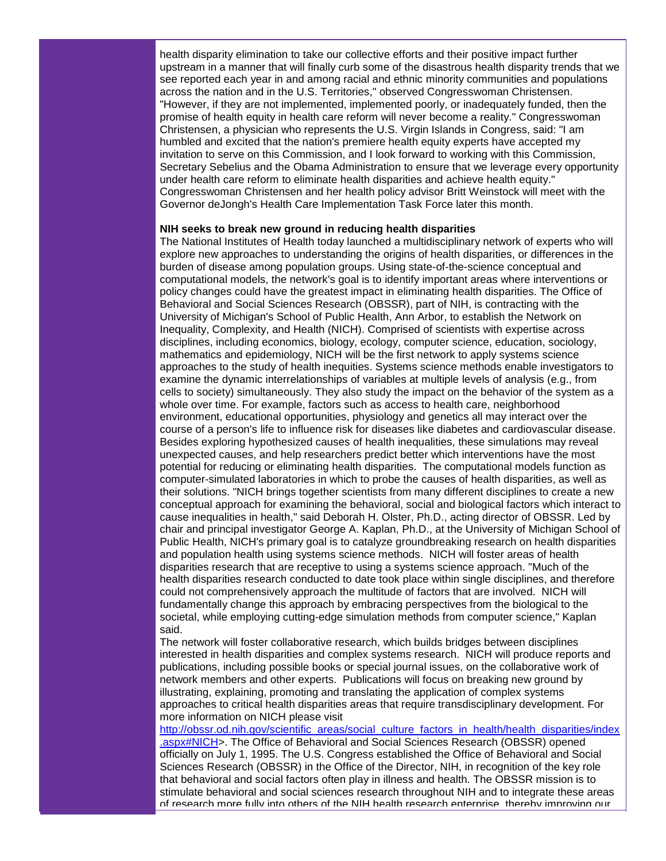health disparity elimination to take our collective efforts and their positive impact further upstream in a manner that will finally curb some of the disastrous health disparity trends that we see reported each year in and among racial and ethnic minority communities and populations across the nation and in the U.S. Territories," observed Congresswoman Christensen. "However, if they are not implemented, implemented poorly, or inadequately funded, then the promise of health equity in health care reform will never become a reality." Congresswoman Christensen, a physician who represents the U.S. Virgin Islands in Congress, said: "I am humbled and excited that the nation's premiere health equity experts have accepted my invitation to serve on this Commission, and I look forward to working with this Commission, Secretary Sebelius and the Obama Administration to ensure that we leverage every opportunity under health care reform to eliminate health disparities and achieve health equity." Congresswoman Christensen and her health policy advisor Britt Weinstock will meet with the Governor deJongh's Health Care Implementation Task Force later this month.

#### **NIH seeks to break new ground in reducing health disparities**

The National Institutes of Health today launched a multidisciplinary network of experts who will explore new approaches to understanding the origins of health disparities, or differences in the burden of disease among population groups. Using state-of-the-science conceptual and computational models, the network's goal is to identify important areas where interventions or policy changes could have the greatest impact in eliminating health disparities. The Office of Behavioral and Social Sciences Research (OBSSR), part of NIH, is contracting with the University of Michigan's School of Public Health, Ann Arbor, to establish the Network on Inequality, Complexity, and Health (NICH). Comprised of scientists with expertise across disciplines, including economics, biology, ecology, computer science, education, sociology, mathematics and epidemiology, NICH will be the first network to apply systems science approaches to the study of health inequities. Systems science methods enable investigators to examine the dynamic interrelationships of variables at multiple levels of analysis (e.g., from cells to society) simultaneously. They also study the impact on the behavior of the system as a whole over time. For example, factors such as access to health care, neighborhood environment, educational opportunities, physiology and genetics all may interact over the course of a person's life to influence risk for diseases like diabetes and cardiovascular disease. Besides exploring hypothesized causes of health inequalities, these simulations may reveal unexpected causes, and help researchers predict better which interventions have the most potential for reducing or eliminating health disparities. The computational models function as computer-simulated laboratories in which to probe the causes of health disparities, as well as their solutions. "NICH brings together scientists from many different disciplines to create a new conceptual approach for examining the behavioral, social and biological factors which interact to cause inequalities in health," said Deborah H. Olster, Ph.D., acting director of OBSSR. Led by chair and principal investigator George A. Kaplan, Ph.D., at the University of Michigan School of Public Health, NICH's primary goal is to catalyze groundbreaking research on health disparities and population health using systems science methods. NICH will foster areas of health disparities research that are receptive to using a systems science approach. "Much of the health disparities research conducted to date took place within single disciplines, and therefore could not comprehensively approach the multitude of factors that are involved. NICH will fundamentally change this approach by embracing perspectives from the biological to the societal, while employing cutting-edge simulation methods from computer science," Kaplan said.

The network will foster collaborative research, which builds bridges between disciplines interested in health disparities and complex systems research. NICH will produce reports and publications, including possible books or special journal issues, on the collaborative work of network members and other experts. Publications will focus on breaking new ground by illustrating, explaining, promoting and translating the application of complex systems approaches to critical health disparities areas that require transdisciplinary development. For more information on NICH please visit

[http://obssr.od.nih.gov/scientific\\_areas/social\\_culture\\_factors\\_in\\_health/health\\_disparities/index](http://r20.rs6.net/tn.jsp?llr=5gytkqcab&et=1103683950222&s=1&e=001-bnjQJfF5_Yk30u5m5o2JCMMdZdokSF3b-L-yxhyGLjBbTgy7b4Gk3sgWJLvgT1ouBEYw855PgmWDOTJpaX-gjrY-ugR4yxX70d6wdfICxPzVwSvHwhXub5zvGqbi5lrn1ZNWBDryH9M1evO3dvGXFOAyhMJgxxszIxHbttGWUmwQX9qm0pL_jux3Rj-wHnJMx6LSZOhT9oOBSoXkwONYmbQbH-3RaafCGtDTfGAWGs=) [.aspx#NICH>](http://r20.rs6.net/tn.jsp?llr=5gytkqcab&et=1103683950222&s=1&e=001-bnjQJfF5_Yk30u5m5o2JCMMdZdokSF3b-L-yxhyGLjBbTgy7b4Gk3sgWJLvgT1ouBEYw855PgmWDOTJpaX-gjrY-ugR4yxX70d6wdfICxPzVwSvHwhXub5zvGqbi5lrn1ZNWBDryH9M1evO3dvGXFOAyhMJgxxszIxHbttGWUmwQX9qm0pL_jux3Rj-wHnJMx6LSZOhT9oOBSoXkwONYmbQbH-3RaafCGtDTfGAWGs=). The Office of Behavioral and Social Sciences Research (OBSSR) opened officially on July 1, 1995. The U.S. Congress established the Office of Behavioral and Social Sciences Research (OBSSR) in the Office of the Director, NIH, in recognition of the key role that behavioral and social factors often play in illness and health. The OBSSR mission is to stimulate behavioral and social sciences research throughout NIH and to integrate these areas of research more fully into others of the NIH health research enterprise, thereby improving our